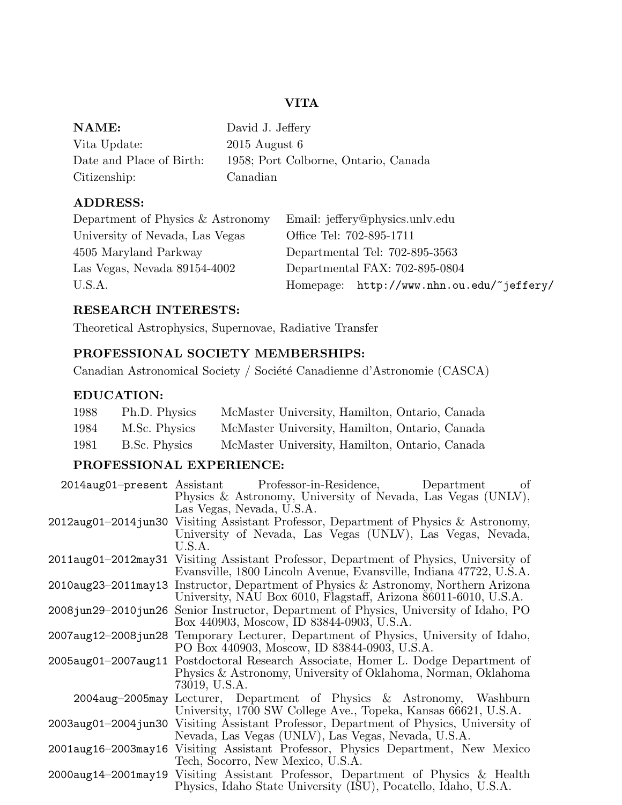# VITA

| NAME:                    | David J. Jeffery                     |
|--------------------------|--------------------------------------|
| Vita Update:             | $2015$ August 6                      |
| Date and Place of Birth: | 1958; Port Colborne, Ontario, Canada |
| Citizenship:             | Canadian                             |

# ADDRESS:

| Department of Physics & Astronomy | Email: jeffery@physics.unlv.edu           |
|-----------------------------------|-------------------------------------------|
| University of Nevada, Las Vegas   | Office Tel: 702-895-1711                  |
| 4505 Maryland Parkway             | Departmental Tel: 702-895-3563            |
| Las Vegas, Nevada 89154-4002      | Departmental FAX: 702-895-0804            |
| U.S.A.                            | Homepage: http://www.nhn.ou.edu/~jeffery/ |

# RESEARCH INTERESTS:

Theoretical Astrophysics, Supernovae, Radiative Transfer

# PROFESSIONAL SOCIETY MEMBERSHIPS:

Canadian Astronomical Society / Société Canadienne d'Astronomie (CASCA)

# EDUCATION:

| 1988 | Ph.D. Physics | McMaster University, Hamilton, Ontario, Canada |
|------|---------------|------------------------------------------------|
| 1984 | M.Sc. Physics | McMaster University, Hamilton, Ontario, Canada |
| 1981 | B.Sc. Physics | McMaster University, Hamilton, Ontario, Canada |

# PROFESSIONAL EXPERIENCE:

|                     | 2014aug01-present Assistant Professor-in-Residence, Department<br>of                      |
|---------------------|-------------------------------------------------------------------------------------------|
|                     | Physics & Astronomy, University of Nevada, Las Vegas (UNLV),                              |
|                     | Las Vegas, Nevada, U.S.A.                                                                 |
|                     | 2012aug01-2014 jun30 Visiting Assistant Professor, Department of Physics & Astronomy,     |
|                     | University of Nevada, Las Vegas (UNLV), Las Vegas, Nevada,                                |
|                     | U.S.A.                                                                                    |
| 2011aug01-2012may31 | Visiting Assistant Professor, Department of Physics, University of                        |
|                     | Evansville, 1800 Lincoln Avenue, Evansville, Indiana 47722, U.S.A.                        |
| 2010aug23-2011may13 | Instructor, Department of Physics & Astronomy, Northern Arizona                           |
|                     | University, NAU Box 6010, Flagstaff, Arizona 86011-6010, U.S.A.                           |
|                     | 2008 jun 29–2010 jun 26 Senior Instructor, Department of Physics, University of Idaho, PO |
|                     | Box 440903, Moscow, ID 83844-0903, U.S.A.                                                 |
| 2007aug12-2008jun28 | Temporary Lecturer, Department of Physics, University of Idaho,                           |
|                     | PO Box 440903, Moscow, ID 83844-0903, U.S.A.                                              |
| 2005aug01-2007aug11 | Postdoctoral Research Associate, Homer L. Dodge Department of                             |
|                     | Physics & Astronomy, University of Oklahoma, Norman, Oklahoma                             |
|                     | 73019, U.S.A.                                                                             |
|                     | 2004aug-2005may Lecturer, Department of Physics & Astronomy, Washburn                     |
|                     | University, 1700 SW College Ave., Topeka, Kansas 66621, U.S.A.                            |
| 2003aug01-2004jun30 | Visiting Assistant Professor, Department of Physics, University of                        |
|                     | Nevada, Las Vegas (UNLV), Las Vegas, Nevada, U.S.A.                                       |
| 2001aug16-2003may16 | Visiting Assistant Professor, Physics Department, New Mexico                              |
|                     | Tech, Socorro, New Mexico, U.S.A.                                                         |
| 2000aug14-2001may19 | Visiting Assistant Professor, Department of Physics & Health                              |
|                     | Physics, Idaho State University (ISU), Pocatello, Idaho, U.S.A.                           |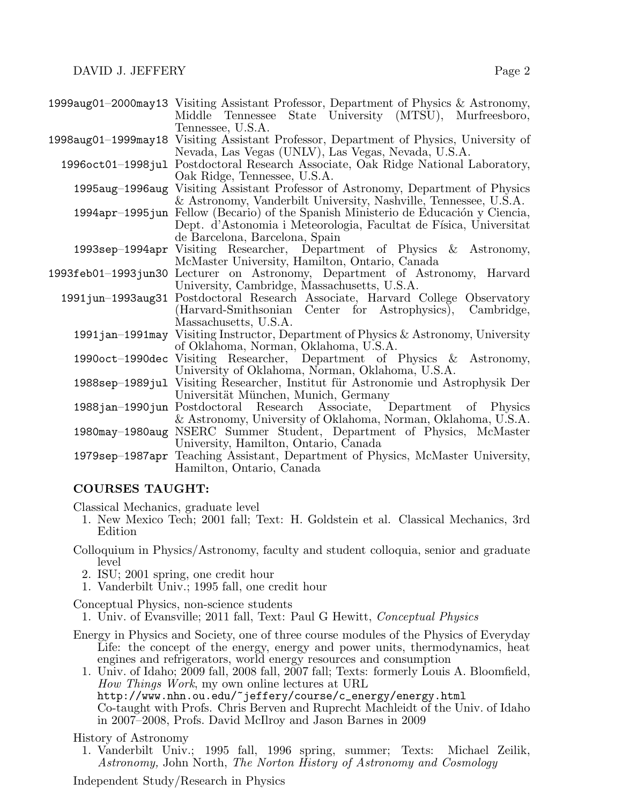| Middle Tennessee State University (MTSU), Murfreesboro,                                |
|----------------------------------------------------------------------------------------|
| Tennessee, U.S.A.                                                                      |
| 1998aug01–1999may18 Visiting Assistant Professor, Department of Physics, University of |
| Nevada, Las Vegas (UNLV), Las Vegas, Nevada, U.S.A.                                    |
| 1996oct01-1998jul Postdoctoral Research Associate, Oak Ridge National Laboratory,      |
| Oak Ridge, Tennessee, U.S.A.                                                           |
| 1995aug-1996aug Visiting Assistant Professor of Astronomy, Department of Physics       |
| & Astronomy, Vanderbilt University, Nashville, Tennessee, U.S.A.                       |
| 1994apr-1995 jun Fellow (Becario) of the Spanish Ministerio de Educación y Ciencia,    |
| Dept. d'Astonomia i Meteorologia, Facultat de Física, Universitat                      |
| de Barcelona, Barcelona, Spain                                                         |
| 1993sep-1994apr Visiting Researcher, Department of Physics & Astronomy,                |
| McMaster University, Hamilton, Ontario, Canada                                         |
| 1993feb01-1993jun30 Lecturer on Astronomy, Department of Astronomy, Harvard            |
| University, Cambridge, Massachusetts, U.S.A.                                           |
| 1991 jun -1993 aug 31 Postdoctoral Research Associate, Harvard College Observatory     |
| (Harvard-Smithsonian Center for Astrophysics), Cambridge,                              |
| Massachusetts, U.S.A.                                                                  |
| 1991 jan-1991 may Visiting Instructor, Department of Physics & Astronomy, University   |
| of Oklahoma, Norman, Oklahoma, U.S.A.                                                  |
| 1990oct-1990dec Visiting Researcher, Department of Physics & Astronomy,                |
| University of Oklahoma, Norman, Oklahoma, U.S.A.                                       |
| 1988sep–1989 jul Visiting Researcher, Institut für Astronomie und Astrophysik Der      |
| Universität München, Munich, Germany                                                   |
| 1988 jan–1990 jun Postdoctoral Research Associate, Department of Physics               |
| & Astronomy, University of Oklahoma, Norman, Oklahoma, U.S.A.                          |
| 1980may-1980aug NSERC Summer Student, Department of Physics, McMaster                  |
| University, Hamilton, Ontario, Canada                                                  |
| 1979sep-1987apr Teaching Assistant, Department of Physics, McMaster University,        |
| Hamilton, Ontario, Canada                                                              |
|                                                                                        |

1999aug01–2000may13 Visiting Assistant Professor, Department of Physics & Astronomy,

# COURSES TAUGHT:

Classical Mechanics, graduate level

- 1. New Mexico Tech; 2001 fall; Text: H. Goldstein et al. Classical Mechanics, 3rd Edition
- Colloquium in Physics/Astronomy, faculty and student colloquia, senior and graduate level
	- 2. ISU; 2001 spring, one credit hour
	- 1. Vanderbilt Univ.; 1995 fall, one credit hour

Conceptual Physics, non-science students

1. Univ. of Evansville; 2011 fall, Text: Paul G Hewitt, Conceptual Physics

- Energy in Physics and Society, one of three course modules of the Physics of Everyday Life: the concept of the energy, energy and power units, thermodynamics, heat engines and refrigerators, world energy resources and consumption
	- 1. Univ. of Idaho; 2009 fall, 2008 fall, 2007 fall; Texts: formerly Louis A. Bloomfield, How Things Work, my own online lectures at URL http://www.nhn.ou.edu/~jeffery/course/c\_energy/energy.html Co-taught with Profs. Chris Berven and Ruprecht Machleidt of the Univ. of Idaho in 2007–2008, Profs. David McIlroy and Jason Barnes in 2009

History of Astronomy

1. Vanderbilt Univ.; 1995 fall, 1996 spring, summer; Texts: Michael Zeilik, Astronomy, John North, The Norton History of Astronomy and Cosmology

Independent Study/Research in Physics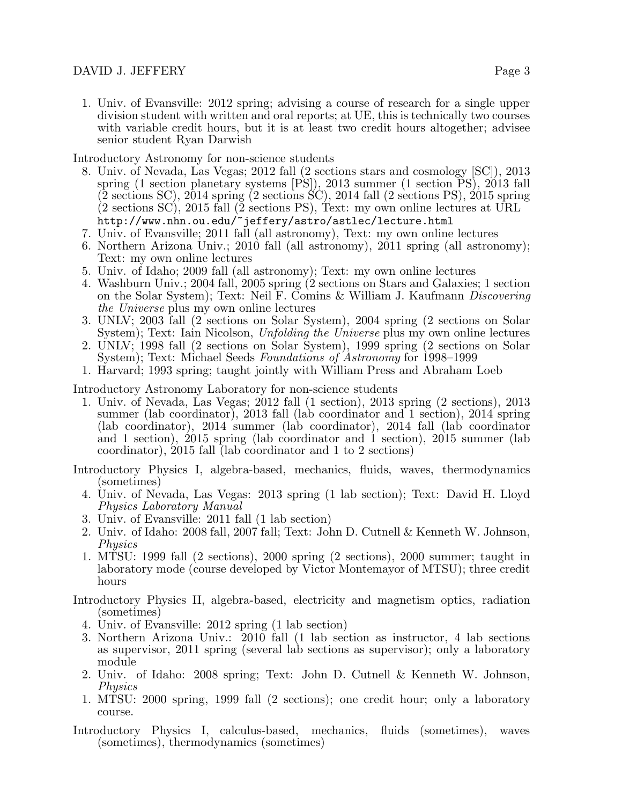1. Univ. of Evansville: 2012 spring; advising a course of research for a single upper division student with written and oral reports; at UE, this is technically two courses with variable credit hours, but it is at least two credit hours altogether; advisee senior student Ryan Darwish

Introductory Astronomy for non-science students

- 8. Univ. of Nevada, Las Vegas; 2012 fall (2 sections stars and cosmology [SC]), 2013 spring (1 section planetary systems  $[\overrightarrow{PS}]$ ), 2013 summer (1 section  $\overrightarrow{PS}$ ), 2013 fall (2 sections SC), 2014 spring (2 sections SC), 2014 fall (2 sections PS), 2015 spring  $(2 \text{ sections } SC), 2015 \text{ fall } (\bar{2} \text{ sections } PS), \text{ Text: } \text{my own online lectures at URL}$ http://www.nhn.ou.edu/~jeffery/astro/astlec/lecture.html
- 7. Univ. of Evansville; 2011 fall (all astronomy), Text: my own online lectures
- 6. Northern Arizona Univ.; 2010 fall (all astronomy), 2011 spring (all astronomy); Text: my own online lectures
- 5. Univ. of Idaho; 2009 fall (all astronomy); Text: my own online lectures
- 4. Washburn Univ.; 2004 fall, 2005 spring (2 sections on Stars and Galaxies; 1 section on the Solar System); Text: Neil F. Comins & William J. Kaufmann Discovering the Universe plus my own online lectures
- 3. UNLV; 2003 fall (2 sections on Solar System), 2004 spring (2 sections on Solar System); Text: Iain Nicolson, Unfolding the Universe plus my own online lectures
- 2. UNLV; 1998 fall (2 sections on Solar System), 1999 spring (2 sections on Solar System); Text: Michael Seeds Foundations of Astronomy for 1998–1999
- 1. Harvard; 1993 spring; taught jointly with William Press and Abraham Loeb

Introductory Astronomy Laboratory for non-science students

- 1. Univ. of Nevada, Las Vegas; 2012 fall (1 section), 2013 spring (2 sections), 2013 summer (lab coordinator), 2013 fall (lab coordinator and 1 section), 2014 spring (lab coordinator), 2014 summer (lab coordinator), 2014 fall (lab coordinator and 1 section), 2015 spring (lab coordinator and 1 section), 2015 summer (lab coordinator), 2015 fall (lab coordinator and 1 to 2 sections)
- Introductory Physics I, algebra-based, mechanics, fluids, waves, thermodynamics (sometimes)
	- 4. Univ. of Nevada, Las Vegas: 2013 spring (1 lab section); Text: David H. Lloyd Physics Laboratory Manual
	- 3. Univ. of Evansville: 2011 fall (1 lab section)
	- 2. Univ. of Idaho: 2008 fall, 2007 fall; Text: John D. Cutnell & Kenneth W. Johnson, *Physics*
	- 1. MTSU: 1999 fall (2 sections), 2000 spring (2 sections), 2000 summer; taught in laboratory mode (course developed by Victor Montemayor of MTSU); three credit hours
- Introductory Physics II, algebra-based, electricity and magnetism optics, radiation (sometimes)
	- 4. Univ. of Evansville: 2012 spring (1 lab section)
	- 3. Northern Arizona Univ.: 2010 fall (1 lab section as instructor, 4 lab sections as supervisor, 2011 spring (several lab sections as supervisor); only a laboratory module
	- 2. Univ. of Idaho: 2008 spring; Text: John D. Cutnell & Kenneth W. Johnson, Physics
	- 1. MTSU: 2000 spring, 1999 fall (2 sections); one credit hour; only a laboratory course.
- Introductory Physics I, calculus-based, mechanics, fluids (sometimes), waves (sometimes), thermodynamics (sometimes)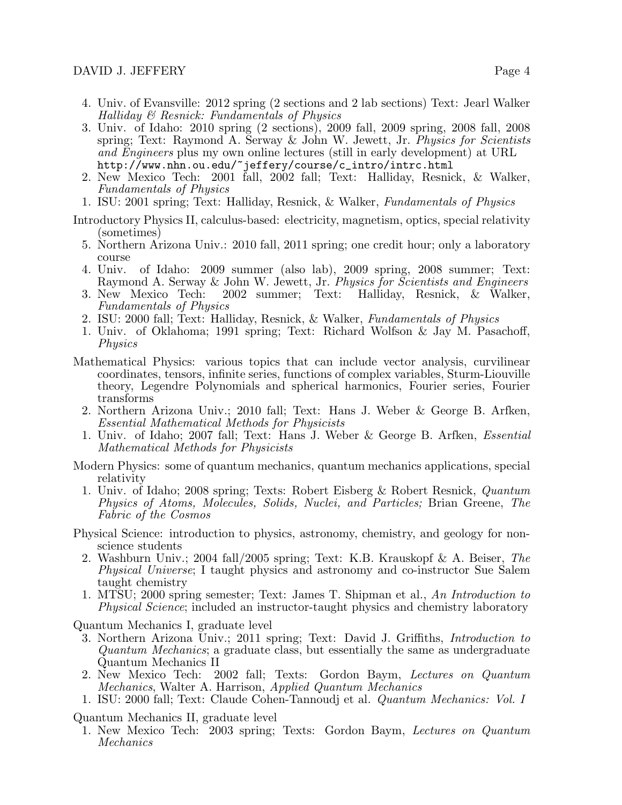- 4. Univ. of Evansville: 2012 spring (2 sections and 2 lab sections) Text: Jearl Walker Halliday & Resnick: Fundamentals of Physics
- 3. Univ. of Idaho: 2010 spring (2 sections), 2009 fall, 2009 spring, 2008 fall, 2008 spring; Text: Raymond A. Serway & John W. Jewett, Jr. Physics for Scientists and Engineers plus my own online lectures (still in early development) at URL http://www.nhn.ou.edu/~jeffery/course/c\_intro/intrc.html
- 2. New Mexico Tech: 2001 fall, 2002 fall; Text: Halliday, Resnick, & Walker, Fundamentals of Physics
- 1. ISU: 2001 spring; Text: Halliday, Resnick, & Walker, Fundamentals of Physics
- Introductory Physics II, calculus-based: electricity, magnetism, optics, special relativity (sometimes)
	- 5. Northern Arizona Univ.: 2010 fall, 2011 spring; one credit hour; only a laboratory course
	- 4. Univ. of Idaho: 2009 summer (also lab), 2009 spring, 2008 summer; Text: Raymond A. Serway & John W. Jewett, Jr. *Physics for Scientists and Engineers* 3. New Mexico Tech: 2002 summer; Text: Halliday, Resnick, & Walker,
	- 2002 summer; Text: Halliday, Resnick, & Walker, Fundamentals of Physics
	- 2. ISU: 2000 fall; Text: Halliday, Resnick, & Walker, Fundamentals of Physics
	- 1. Univ. of Oklahoma; 1991 spring; Text: Richard Wolfson & Jay M. Pasachoff, Physics
- Mathematical Physics: various topics that can include vector analysis, curvilinear coordinates, tensors, infinite series, functions of complex variables, Sturm-Liouville theory, Legendre Polynomials and spherical harmonics, Fourier series, Fourier transforms
	- 2. Northern Arizona Univ.; 2010 fall; Text: Hans J. Weber & George B. Arfken, Essential Mathematical Methods for Physicists
	- 1. Univ. of Idaho; 2007 fall; Text: Hans J. Weber & George B. Arfken, Essential Mathematical Methods for Physicists
- Modern Physics: some of quantum mechanics, quantum mechanics applications, special relativity
	- 1. Univ. of Idaho; 2008 spring; Texts: Robert Eisberg & Robert Resnick, Quantum Physics of Atoms, Molecules, Solids, Nuclei, and Particles; Brian Greene, The Fabric of the Cosmos
- Physical Science: introduction to physics, astronomy, chemistry, and geology for nonscience students
	- 2. Washburn Univ.; 2004 fall/2005 spring; Text: K.B. Krauskopf & A. Beiser, The Physical Universe; I taught physics and astronomy and co-instructor Sue Salem taught chemistry
	- 1. MTSU; 2000 spring semester; Text: James T. Shipman et al., An Introduction to Physical Science; included an instructor-taught physics and chemistry laboratory

Quantum Mechanics I, graduate level

- 3. Northern Arizona Univ.; 2011 spring; Text: David J. Griffiths, Introduction to Quantum Mechanics; a graduate class, but essentially the same as undergraduate Quantum Mechanics II
- 2. New Mexico Tech: 2002 fall; Texts: Gordon Baym, Lectures on Quantum Mechanics, Walter A. Harrison, Applied Quantum Mechanics
- 1. ISU: 2000 fall; Text: Claude Cohen-Tannoudj et al. Quantum Mechanics: Vol. I

Quantum Mechanics II, graduate level

1. New Mexico Tech: 2003 spring; Texts: Gordon Baym, Lectures on Quantum Mechanics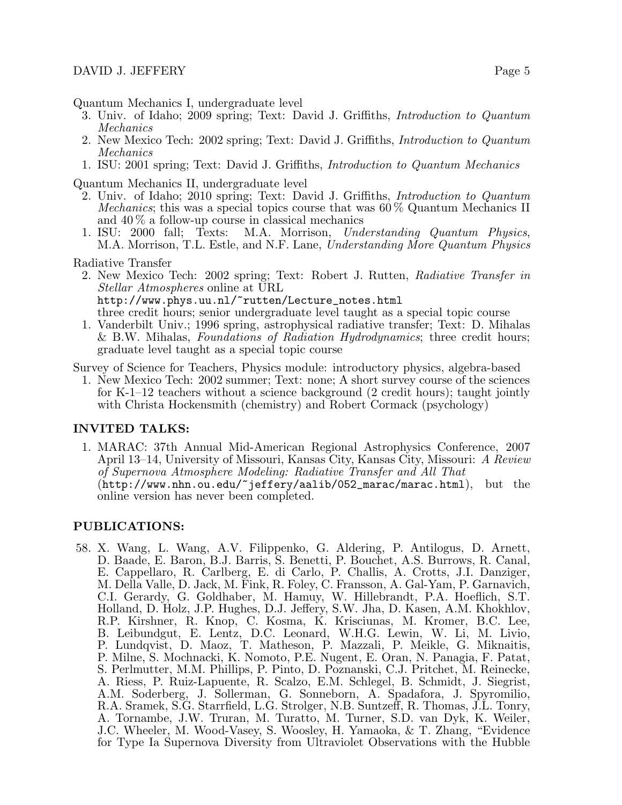Quantum Mechanics I, undergraduate level

- 3. Univ. of Idaho; 2009 spring; Text: David J. Griffiths, Introduction to Quantum Mechanics
- 2. New Mexico Tech: 2002 spring; Text: David J. Griffiths, Introduction to Quantum Mechanics
- 1. ISU: 2001 spring; Text: David J. Griffiths, Introduction to Quantum Mechanics

Quantum Mechanics II, undergraduate level

- 2. Univ. of Idaho; 2010 spring; Text: David J. Griffiths, Introduction to Quantum *Mechanics*; this was a special topics course that was  $60\%$  Quantum Mechanics II and 40 % a follow-up course in classical mechanics
- 1. ISU: 2000 fall; Texts: M.A. Morrison, Understanding Quantum Physics, M.A. Morrison, T.L. Estle, and N.F. Lane, *Understanding More Quantum Physics*

Radiative Transfer

- 2. New Mexico Tech: 2002 spring; Text: Robert J. Rutten, Radiative Transfer in Stellar Atmospheres online at URL http://www.phys.uu.nl/~rutten/Lecture\_notes.html three credit hours; senior undergraduate level taught as a special topic course
- 1. Vanderbilt Univ.; 1996 spring, astrophysical radiative transfer; Text: D. Mihalas & B.W. Mihalas, Foundations of Radiation Hydrodynamics; three credit hours; graduate level taught as a special topic course

Survey of Science for Teachers, Physics module: introductory physics, algebra-based

1. New Mexico Tech: 2002 summer; Text: none; A short survey course of the sciences for K-1–12 teachers without a science background (2 credit hours); taught jointly with Christa Hockensmith (chemistry) and Robert Cormack (psychology)

### INVITED TALKS:

1. MARAC: 37th Annual Mid-American Regional Astrophysics Conference, 2007 April 13–14, University of Missouri, Kansas City, Kansas City, Missouri: A Review of Supernova Atmosphere Modeling: Radiative Transfer and All That (http://www.nhn.ou.edu/~jeffery/aalib/052\_marac/marac.html), but the online version has never been completed.

### PUBLICATIONS:

58. X. Wang, L. Wang, A.V. Filippenko, G. Aldering, P. Antilogus, D. Arnett, D. Baade, E. Baron, B.J. Barris, S. Benetti, P. Bouchet, A.S. Burrows, R. Canal, E. Cappellaro, R. Carlberg, E. di Carlo, P. Challis, A. Crotts, J.I. Danziger, M. Della Valle, D. Jack, M. Fink, R. Foley, C. Fransson, A. Gal-Yam, P. Garnavich, C.I. Gerardy, G. Goldhaber, M. Hamuy, W. Hillebrandt, P.A. Hoeflich, S.T. Holland, D. Holz, J.P. Hughes, D.J. Jeffery, S.W. Jha, D. Kasen, A.M. Khokhlov, R.P. Kirshner, R. Knop, C. Kosma, K. Krisciunas, M. Kromer, B.C. Lee, B. Leibundgut, E. Lentz, D.C. Leonard, W.H.G. Lewin, W. Li, M. Livio, P. Lundqvist, D. Maoz, T. Matheson, P. Mazzali, P. Meikle, G. Miknaitis, P. Milne, S. Mochnacki, K. Nomoto, P.E. Nugent, E. Oran, N. Panagia, F. Patat, S. Perlmutter, M.M. Phillips, P. Pinto, D. Poznanski, C.J. Pritchet, M. Reinecke, A. Riess, P. Ruiz-Lapuente, R. Scalzo, E.M. Schlegel, B. Schmidt, J. Siegrist, A.M. Soderberg, J. Sollerman, G. Sonneborn, A. Spadafora, J. Spyromilio, R.A. Sramek, S.G. Starrfield, L.G. Strolger, N.B. Suntzeff, R. Thomas, J.L. Tonry, A. Tornambe, J.W. Truran, M. Turatto, M. Turner, S.D. van Dyk, K. Weiler, J.C. Wheeler, M. Wood-Vasey, S. Woosley, H. Yamaoka, & T. Zhang, "Evidence for Type Ia Supernova Diversity from Ultraviolet Observations with the Hubble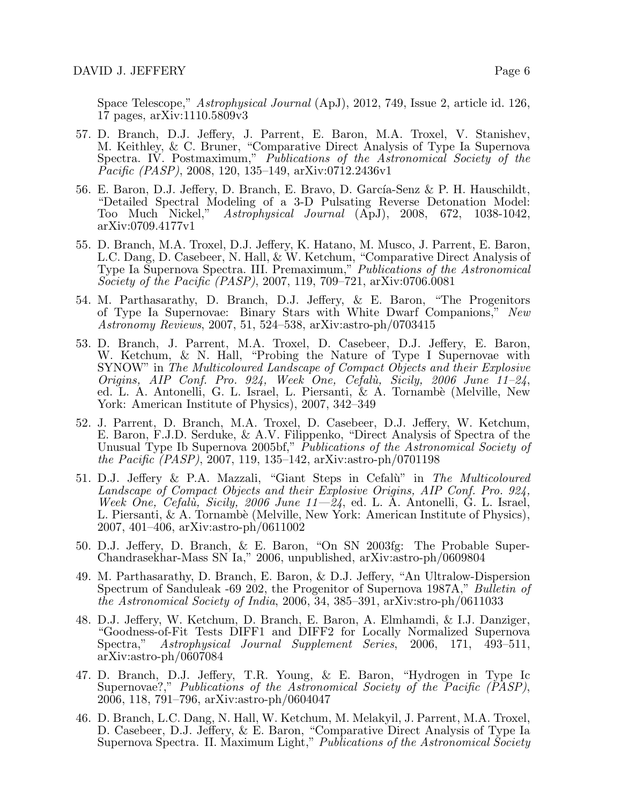Space Telescope," Astrophysical Journal (ApJ), 2012, 749, Issue 2, article id. 126, 17 pages, arXiv:1110.5809v3

- 57. D. Branch, D.J. Jeffery, J. Parrent, E. Baron, M.A. Troxel, V. Stanishev, M. Keithley, & C. Bruner, "Comparative Direct Analysis of Type Ia Supernova Spectra. IV. Postmaximum," Publications of the Astronomical Society of the  $\vec{P}acific$  (PASP), 2008, 120, 135–149, arXiv:0712.2436v1
- 56. E. Baron, D.J. Jeffery, D. Branch, E. Bravo, D. García-Senz & P. H. Hauschildt, "Detailed Spectral Modeling of a 3-D Pulsating Reverse Detonation Model: Too Much Nickel," Astrophysical Journal (ApJ), 2008, 672, 1038-1042, arXiv:0709.4177v1
- 55. D. Branch, M.A. Troxel, D.J. Jeffery, K. Hatano, M. Musco, J. Parrent, E. Baron, L.C. Dang, D. Casebeer, N. Hall, & W. Ketchum, "Comparative Direct Analysis of Type Ia Supernova Spectra. III. Premaximum," Publications of the Astronomical Society of the Pacific (PASP), 2007, 119, 709–721, arXiv:0706.0081
- 54. M. Parthasarathy, D. Branch, D.J. Jeffery, & E. Baron, "The Progenitors of Type Ia Supernovae: Binary Stars with White Dwarf Companions," New Astronomy Reviews, 2007, 51, 524–538, arXiv:astro-ph/0703415
- 53. D. Branch, J. Parrent, M.A. Troxel, D. Casebeer, D.J. Jeffery, E. Baron, W. Ketchum, & N. Hall, "Probing the Nature of Type I Supernovae with SYNOW" in The Multicoloured Landscape of Compact Objects and their Explosive Origins, AIP Conf. Pro. 924, Week One, Cefalù, Sicily, 2006 June 11-24, ed. L. A. Antonelli, G. L. Israel, L. Piersanti, & A. Tornambè (Melville, New York: American Institute of Physics), 2007, 342–349
- 52. J. Parrent, D. Branch, M.A. Troxel, D. Casebeer, D.J. Jeffery, W. Ketchum, E. Baron, F.J.D. Serduke, & A.V. Filippenko, "Direct Analysis of Spectra of the Unusual Type Ib Supernova 2005bf," Publications of the Astronomical Society of the Pacific (PASP), 2007, 119, 135–142, arXiv:astro-ph/0701198
- 51. D.J. Jeffery & P.A. Mazzali, "Giant Steps in Cefalu" in The Multicoloured Landscape of Compact Objects and their Explosive Origins, AIP Conf. Pro. 924, Week One, Cefalù, Sicily, 2006 June  $11-\overline{24}$ , ed. L. A. Antonelli, G. L. Israel, L. Piersanti, & A. Tornambè (Melville, New York: American Institute of Physics), 2007, 401–406, arXiv:astro-ph/0611002
- 50. D.J. Jeffery, D. Branch, & E. Baron, "On SN 2003fg: The Probable Super-Chandrasekhar-Mass SN Ia," 2006, unpublished, arXiv:astro-ph/0609804
- 49. M. Parthasarathy, D. Branch, E. Baron, & D.J. Jeffery, "An Ultralow-Dispersion Spectrum of Sanduleak -69 202, the Progenitor of Supernova 1987A," Bulletin of the Astronomical Society of India, 2006, 34, 385–391, arXiv:stro-ph/0611033
- 48. D.J. Jeffery, W. Ketchum, D. Branch, E. Baron, A. Elmhamdi, & I.J. Danziger, "Goodness-of-Fit Tests DIFF1 and DIFF2 for Locally Normalized Supernova Spectra," Astrophysical Journal Supplement Series, 2006, 171, 493–511, arXiv:astro-ph/0607084
- 47. D. Branch, D.J. Jeffery, T.R. Young, & E. Baron, "Hydrogen in Type Ic Supernovae?," Publications of the Astronomical Society of the Pacific (PASP), 2006, 118, 791–796, arXiv:astro-ph/0604047
- 46. D. Branch, L.C. Dang, N. Hall, W. Ketchum, M. Melakyil, J. Parrent, M.A. Troxel, D. Casebeer, D.J. Jeffery, & E. Baron, "Comparative Direct Analysis of Type Ia Supernova Spectra. II. Maximum Light," *Publications of the Astronomical Society*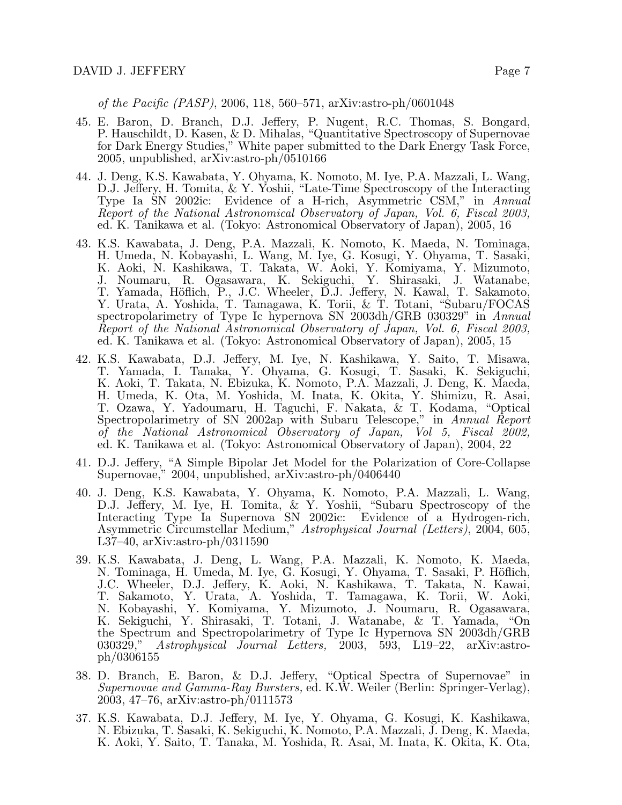of the Pacific (PASP), 2006, 118, 560–571, arXiv:astro-ph/0601048

- 45. E. Baron, D. Branch, D.J. Jeffery, P. Nugent, R.C. Thomas, S. Bongard, P. Hauschildt, D. Kasen, & D. Mihalas, "Quantitative Spectroscopy of Supernovae for Dark Energy Studies," White paper submitted to the Dark Energy Task Force, 2005, unpublished, arXiv:astro-ph/0510166
- 44. J. Deng, K.S. Kawabata, Y. Ohyama, K. Nomoto, M. Iye, P.A. Mazzali, L. Wang, D.J. Jeffery, H. Tomita, & Y. Yoshii, "Late-Time Spectroscopy of the Interacting Type Ia SN 2002ic: Evidence of a H-rich, Asymmetric CSM," in Annual Report of the National Astronomical Observatory of Japan, Vol. 6, Fiscal 2003, ed. K. Tanikawa et al. (Tokyo: Astronomical Observatory of Japan), 2005, 16
- 43. K.S. Kawabata, J. Deng, P.A. Mazzali, K. Nomoto, K. Maeda, N. Tominaga, H. Umeda, N. Kobayashi, L. Wang, M. Iye, G. Kosugi, Y. Ohyama, T. Sasaki, K. Aoki, N. Kashikawa, T. Takata, W. Aoki, Y. Komiyama, Y. Mizumoto, J. Noumaru, R. Ogasawara, K. Sekiguchi, Y. Shirasaki, J. Watanabe, T. Yamada, Höflich, P., J.C. Wheeler, D.J. Jeffery, N. Kawal, T. Sakamoto, Y. Urata, A. Yoshida, T. Tamagawa, K. Torii, & T. Totani, "Subaru/FOCAS spectropolarimetry of Type Ic hypernova SN 2003dh/GRB 030329" in Annual Report of the National Astronomical Observatory of Japan, Vol. 6, Fiscal 2003, ed. K. Tanikawa et al. (Tokyo: Astronomical Observatory of Japan), 2005, 15
- 42. K.S. Kawabata, D.J. Jeffery, M. Iye, N. Kashikawa, Y. Saito, T. Misawa, T. Yamada, I. Tanaka, Y. Ohyama, G. Kosugi, T. Sasaki, K. Sekiguchi, K. Aoki, T. Takata, N. Ebizuka, K. Nomoto, P.A. Mazzali, J. Deng, K. Maeda, H. Umeda, K. Ota, M. Yoshida, M. Inata, K. Okita, Y. Shimizu, R. Asai, T. Ozawa, Y. Yadoumaru, H. Taguchi, F. Nakata, & T. Kodama, "Optical Spectropolarimetry of SN 2002ap with Subaru Telescope," in Annual Report of the National Astronomical Observatory of Japan, Vol 5, Fiscal 2002, ed. K. Tanikawa et al. (Tokyo: Astronomical Observatory of Japan), 2004, 22
- 41. D.J. Jeffery, "A Simple Bipolar Jet Model for the Polarization of Core-Collapse Supernovae," 2004, unpublished, arXiv:astro-ph/0406440
- 40. J. Deng, K.S. Kawabata, Y. Ohyama, K. Nomoto, P.A. Mazzali, L. Wang, D.J. Jeffery, M. Iye, H. Tomita, & Y. Yoshii, "Subaru Spectroscopy of the Interacting Type Ia Supernova SN 2002ic: Evidence of a Hydrogen-rich, Asymmetric Circumstellar Medium," Astrophysical Journal (Letters), 2004, 605, L37–40, arXiv:astro-ph/0311590
- 39. K.S. Kawabata, J. Deng, L. Wang, P.A. Mazzali, K. Nomoto, K. Maeda, N. Tominaga, H. Umeda, M. Iye, G. Kosugi, Y. Ohyama, T. Sasaki, P. Höflich, J.C. Wheeler, D.J. Jeffery, K. Aoki, N. Kashikawa, T. Takata, N. Kawai, T. Sakamoto, Y. Urata, A. Yoshida, T. Tamagawa, K. Torii, W. Aoki, N. Kobayashi, Y. Komiyama, Y. Mizumoto, J. Noumaru, R. Ogasawara, K. Sekiguchi, Y. Shirasaki, T. Totani, J. Watanabe, & T. Yamada, "On the Spectrum and Spectropolarimetry of Type Ic Hypernova SN 2003dh/GRB 030329," Astrophysical Journal Letters, 2003, 593, L19–22, arXiv:astroph/0306155
- 38. D. Branch, E. Baron, & D.J. Jeffery, "Optical Spectra of Supernovae" in Supernovae and Gamma-Ray Bursters, ed. K.W. Weiler (Berlin: Springer-Verlag), 2003, 47–76, arXiv:astro-ph/0111573
- 37. K.S. Kawabata, D.J. Jeffery, M. Iye, Y. Ohyama, G. Kosugi, K. Kashikawa, N. Ebizuka, T. Sasaki, K. Sekiguchi, K. Nomoto, P.A. Mazzali, J. Deng, K. Maeda, K. Aoki, Y. Saito, T. Tanaka, M. Yoshida, R. Asai, M. Inata, K. Okita, K. Ota,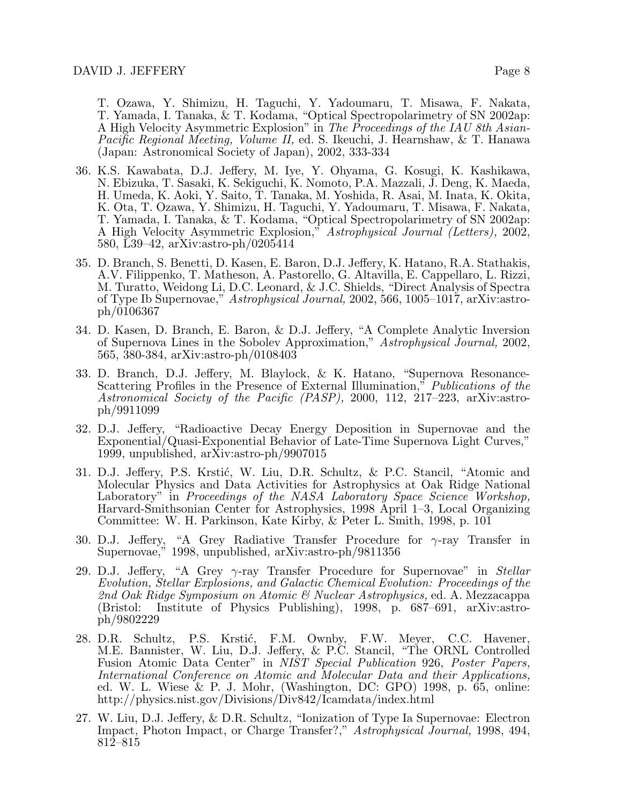T. Ozawa, Y. Shimizu, H. Taguchi, Y. Yadoumaru, T. Misawa, F. Nakata, T. Yamada, I. Tanaka, & T. Kodama, "Optical Spectropolarimetry of SN 2002ap: A High Velocity Asymmetric Explosion" in The Proceedings of the IAU 8th Asian-Pacific Regional Meeting, Volume II, ed. S. Ikeuchi, J. Hearnshaw, & T. Hanawa (Japan: Astronomical Society of Japan), 2002, 333-334

- 36. K.S. Kawabata, D.J. Jeffery, M. Iye, Y. Ohyama, G. Kosugi, K. Kashikawa, N. Ebizuka, T. Sasaki, K. Sekiguchi, K. Nomoto, P.A. Mazzali, J. Deng, K. Maeda, H. Umeda, K. Aoki, Y. Saito, T. Tanaka, M. Yoshida, R. Asai, M. Inata, K. Okita, K. Ota, T. Ozawa, Y. Shimizu, H. Taguchi, Y. Yadoumaru, T. Misawa, F. Nakata, T. Yamada, I. Tanaka, & T. Kodama, "Optical Spectropolarimetry of SN 2002ap: A High Velocity Asymmetric Explosion," Astrophysical Journal (Letters), 2002, 580, L39–42, arXiv:astro-ph/0205414
- 35. D. Branch, S. Benetti, D. Kasen, E. Baron, D.J. Jeffery, K. Hatano, R.A. Stathakis, A.V. Filippenko, T. Matheson, A. Pastorello, G. Altavilla, E. Cappellaro, L. Rizzi, M. Turatto, Weidong Li, D.C. Leonard, & J.C. Shields, "Direct Analysis of Spectra of Type Ib Supernovae," Astrophysical Journal, 2002, 566, 1005–1017, arXiv:astroph/0106367
- 34. D. Kasen, D. Branch, E. Baron, & D.J. Jeffery, "A Complete Analytic Inversion of Supernova Lines in the Sobolev Approximation," Astrophysical Journal, 2002, 565, 380-384, arXiv:astro-ph/0108403
- 33. D. Branch, D.J. Jeffery, M. Blaylock, & K. Hatano, "Supernova Resonance-Scattering Profiles in the Presence of External Illumination,<sup>"</sup> Publications of the Astronomical Society of the Pacific (PASP), 2000, 112, 217–223, arXiv:astroph/9911099
- 32. D.J. Jeffery, "Radioactive Decay Energy Deposition in Supernovae and the Exponential/Quasi-Exponential Behavior of Late-Time Supernova Light Curves," 1999, unpublished, arXiv:astro-ph/9907015
- 31. D.J. Jeffery, P.S. Krstić, W. Liu, D.R. Schultz, & P.C. Stancil, "Atomic and Molecular Physics and Data Activities for Astrophysics at Oak Ridge National Laboratory" in Proceedings of the NASA Laboratory Space Science Workshop, Harvard-Smithsonian Center for Astrophysics, 1998 April 1–3, Local Organizing Committee: W. H. Parkinson, Kate Kirby, & Peter L. Smith, 1998, p. 101
- 30. D.J. Jeffery, "A Grey Radiative Transfer Procedure for  $\gamma$ -ray Transfer in Supernovae," 1998, unpublished, arXiv:astro-ph/9811356
- 29. D.J. Jeffery, "A Grey  $\gamma$ -ray Transfer Procedure for Supernovae" in *Stellar* Evolution, Stellar Explosions, and Galactic Chemical Evolution: Proceedings of the 2nd Oak Ridge Symposium on Atomic & Nuclear Astrophysics, ed. A. Mezzacappa (Bristol: Institute of Physics Publishing), 1998, p. 687–691, arXiv:astroph/9802229
- 28. D.R. Schultz, P.S. Krstić, F.M. Ownby, F.W. Meyer, C.C. Havener, M.E. Bannister, W. Liu, D.J. Jeffery, & P.C. Stancil, "The ORNL Controlled Fusion Atomic Data Center" in NIST Special Publication 926, Poster Papers, International Conference on Atomic and Molecular Data and their Applications, ed. W. L. Wiese & P. J. Mohr, (Washington, DC: GPO) 1998, p. 65, online: http://physics.nist.gov/Divisions/Div842/Icamdata/index.html
- 27. W. Liu, D.J. Jeffery, & D.R. Schultz, "Ionization of Type Ia Supernovae: Electron Impact, Photon Impact, or Charge Transfer?," Astrophysical Journal, 1998, 494, 812–815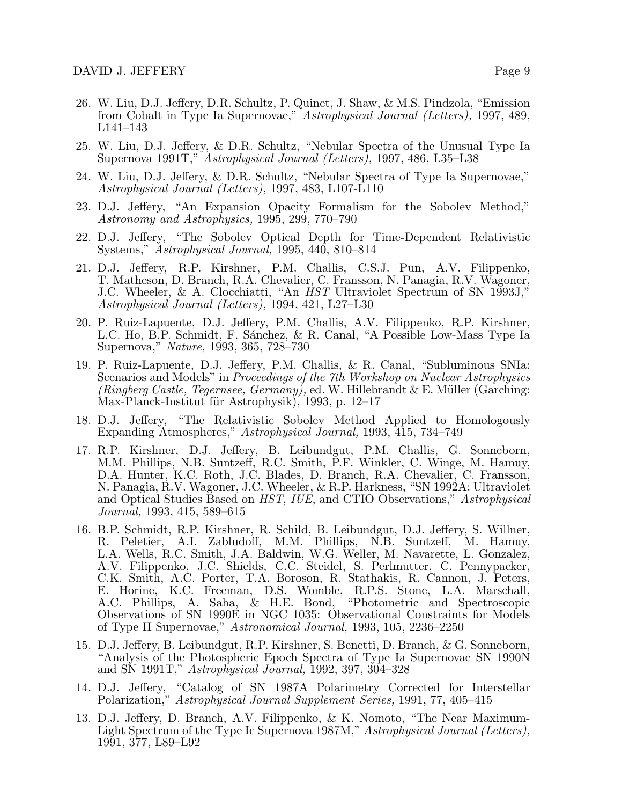- 26. W. Liu, D.J. Jeffery, D.R. Schultz, P. Quinet, J. Shaw, & M.S. Pindzola, "Emission from Cobalt in Type Ia Supernovae," Astrophysical Journal (Letters), 1997, 489, L141–143
- 25. W. Liu, D.J. Jeffery, & D.R. Schultz, "Nebular Spectra of the Unusual Type Ia Supernova 1991T," Astrophysical Journal (Letters), 1997, 486, L35–L38
- 24. W. Liu, D.J. Jeffery, & D.R. Schultz, "Nebular Spectra of Type Ia Supernovae," Astrophysical Journal (Letters), 1997, 483, L107-L110
- 23. D.J. Jeffery, "An Expansion Opacity Formalism for the Sobolev Method," Astronomy and Astrophysics, 1995, 299, 770–790
- 22. D.J. Jeffery, "The Sobolev Optical Depth for Time-Dependent Relativistic Systems," Astrophysical Journal, 1995, 440, 810–814
- 21. D.J. Jeffery, R.P. Kirshner, P.M. Challis, C.S.J. Pun, A.V. Filippenko, T. Matheson, D. Branch, R.A. Chevalier, C. Fransson, N. Panagia, R.V. Wagoner, J.C. Wheeler, & A. Clocchiatti, "An HST Ultraviolet Spectrum of SN 1993J," Astrophysical Journal (Letters), 1994, 421, L27–L30
- 20. P. Ruiz-Lapuente, D.J. Jeffery, P.M. Challis, A.V. Filippenko, R.P. Kirshner, L.C. Ho, B.P. Schmidt, F. Sánchez, & R. Canal, "A Possible Low-Mass Type Ia Supernova," Nature, 1993, 365, 728–730
- 19. P. Ruiz-Lapuente, D.J. Jeffery, P.M. Challis, & R. Canal, "Subluminous SNIa: Scenarios and Models" in *Proceedings of the 7th Workshop on Nuclear Astrophysics* (Ringberg Castle, Tegernsee, Germany), ed. W. Hillebrandt & E. Müller (Garching: Max-Planck-Institut für Astrophysik), 1993, p. 12–17
- 18. D.J. Jeffery, "The Relativistic Sobolev Method Applied to Homologously Expanding Atmospheres," Astrophysical Journal, 1993, 415, 734–749
- 17. R.P. Kirshner, D.J. Jeffery, B. Leibundgut, P.M. Challis, G. Sonneborn, M.M. Phillips, N.B. Suntzeff, R.C. Smith, P.F. Winkler, C. Winge, M. Hamuy, D.A. Hunter, K.C. Roth, J.C. Blades, D. Branch, R.A. Chevalier, C. Fransson, N. Panagia, R.V. Wagoner, J.C. Wheeler, & R.P. Harkness, "SN 1992A: Ultraviolet and Optical Studies Based on *HST*, *IUE*, and CTIO Observations," Astrophysical Journal, 1993, 415, 589–615
- 16. B.P. Schmidt, R.P. Kirshner, R. Schild, B. Leibundgut, D.J. Jeffery, S. Willner, R. Peletier, A.I. Zabludoff, M.M. Phillips, N.B. Suntzeff, M. Hamuy, L.A. Wells, R.C. Smith, J.A. Baldwin, W.G. Weller, M. Navarette, L. Gonzalez, A.V. Filippenko, J.C. Shields, C.C. Steidel, S. Perlmutter, C. Pennypacker, C.K. Smith, A.C. Porter, T.A. Boroson, R. Stathakis, R. Cannon, J. Peters, E. Horine, K.C. Freeman, D.S. Womble, R.P.S. Stone, L.A. Marschall, A.C. Phillips, A. Saha, & H.E. Bond, "Photometric and Spectroscopic A.C. Phillips, A. Saha, & H.E. Bond, Observations of SN 1990E in NGC 1035: Observational Constraints for Models of Type II Supernovae," Astronomical Journal, 1993, 105, 2236–2250
- 15. D.J. Jeffery, B. Leibundgut, R.P. Kirshner, S. Benetti, D. Branch, & G. Sonneborn, "Analysis of the Photospheric Epoch Spectra of Type Ia Supernovae SN 1990N and SN 1991T," Astrophysical Journal, 1992, 397, 304–328
- 14. D.J. Jeffery, "Catalog of SN 1987A Polarimetry Corrected for Interstellar Polarization," Astrophysical Journal Supplement Series, 1991, 77, 405–415
- 13. D.J. Jeffery, D. Branch, A.V. Filippenko, & K. Nomoto, "The Near Maximum-Light Spectrum of the Type Ic Supernova 1987M," Astrophysical Journal (Letters), 1991, 377, L89–L92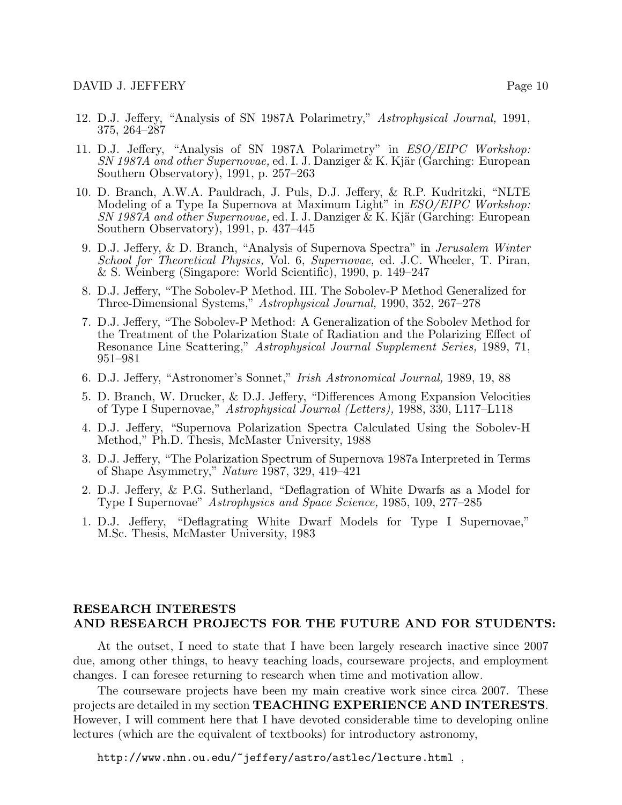- 12. D.J. Jeffery, "Analysis of SN 1987A Polarimetry," Astrophysical Journal, 1991, 375, 264–287
- 11. D.J. Jeffery, "Analysis of SN 1987A Polarimetry" in ESO/EIPC Workshop:  $SN$  1987A and other Supernovae, ed. I. J. Danziger & K. Kjär (Garching: European Southern Observatory), 1991, p. 257–263
- 10. D. Branch, A.W.A. Pauldrach, J. Puls, D.J. Jeffery, & R.P. Kudritzki, "NLTE Modeling of a Type Ia Supernova at Maximum Light" in *ESO/EIPC Workshop:*  $SN 1987A$  and other Supernovae, ed. I. J. Danziger & K. Kjär (Garching: European Southern Observatory), 1991, p. 437–445
- 9. D.J. Jeffery, & D. Branch, "Analysis of Supernova Spectra" in Jerusalem Winter School for Theoretical Physics, Vol. 6, Supernovae, ed. J.C. Wheeler, T. Piran, & S. Weinberg (Singapore: World Scientific), 1990, p. 149–247
- 8. D.J. Jeffery, "The Sobolev-P Method. III. The Sobolev-P Method Generalized for Three-Dimensional Systems," Astrophysical Journal, 1990, 352, 267–278
- 7. D.J. Jeffery, "The Sobolev-P Method: A Generalization of the Sobolev Method for the Treatment of the Polarization State of Radiation and the Polarizing Effect of Resonance Line Scattering," Astrophysical Journal Supplement Series, 1989, 71, 951–981
- 6. D.J. Jeffery, "Astronomer's Sonnet," Irish Astronomical Journal, 1989, 19, 88
- 5. D. Branch, W. Drucker, & D.J. Jeffery, "Differences Among Expansion Velocities of Type I Supernovae," Astrophysical Journal (Letters), 1988, 330, L117–L118
- 4. D.J. Jeffery, "Supernova Polarization Spectra Calculated Using the Sobolev-H Method," Ph.D. Thesis, McMaster University, 1988
- 3. D.J. Jeffery, "The Polarization Spectrum of Supernova 1987a Interpreted in Terms of Shape Asymmetry," Nature 1987, 329, 419–421
- 2. D.J. Jeffery, & P.G. Sutherland, "Deflagration of White Dwarfs as a Model for Type I Supernovae" Astrophysics and Space Science, 1985, 109, 277–285
- 1. D.J. Jeffery, "Deflagrating White Dwarf Models for Type I Supernovae," M.Sc. Thesis, McMaster University, 1983

# RESEARCH INTERESTS AND RESEARCH PROJECTS FOR THE FUTURE AND FOR STUDENTS:

At the outset, I need to state that I have been largely research inactive since 2007 due, among other things, to heavy teaching loads, courseware projects, and employment changes. I can foresee returning to research when time and motivation allow.

The courseware projects have been my main creative work since circa 2007. These projects are detailed in my section TEACHING EXPERIENCE AND INTERESTS. However, I will comment here that I have devoted considerable time to developing online lectures (which are the equivalent of textbooks) for introductory astronomy,

http://www.nhn.ou.edu/~jeffery/astro/astlec/lecture.html,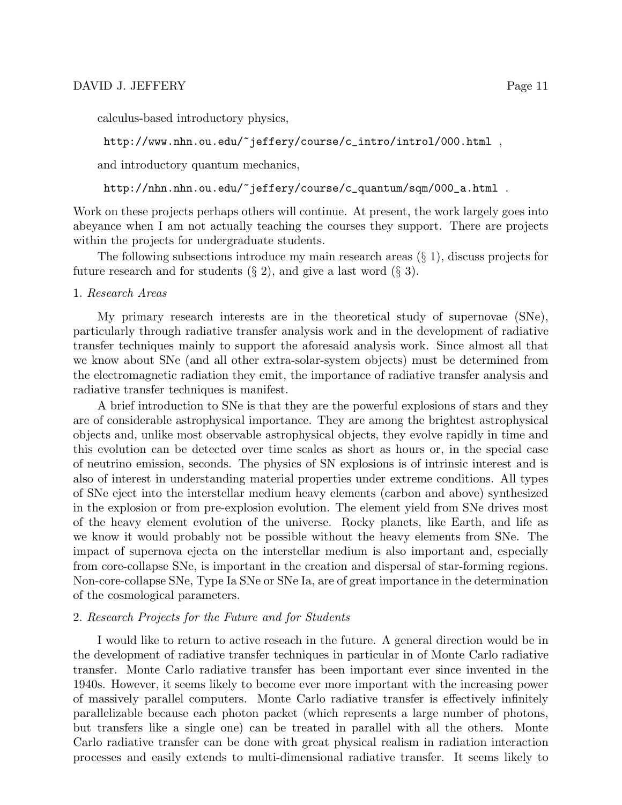calculus-based introductory physics,

```
http://www.nhn.ou.edu/~jeffery/course/c_intro/introl/000.html ,
```
and introductory quantum mechanics,

http://nhn.nhn.ou.edu/~jeffery/course/c\_quantum/sqm/000\_a.html .

Work on these projects perhaps others will continue. At present, the work largely goes into abeyance when I am not actually teaching the courses they support. There are projects within the projects for undergraduate students.

The following subsections introduce my main research areas (§ 1), discuss projects for future research and for students  $(\S 2)$ , and give a last word  $(\S 3)$ .

### 1. Research Areas

My primary research interests are in the theoretical study of supernovae (SNe), particularly through radiative transfer analysis work and in the development of radiative transfer techniques mainly to support the aforesaid analysis work. Since almost all that we know about SNe (and all other extra-solar-system objects) must be determined from the electromagnetic radiation they emit, the importance of radiative transfer analysis and radiative transfer techniques is manifest.

A brief introduction to SNe is that they are the powerful explosions of stars and they are of considerable astrophysical importance. They are among the brightest astrophysical objects and, unlike most observable astrophysical objects, they evolve rapidly in time and this evolution can be detected over time scales as short as hours or, in the special case of neutrino emission, seconds. The physics of SN explosions is of intrinsic interest and is also of interest in understanding material properties under extreme conditions. All types of SNe eject into the interstellar medium heavy elements (carbon and above) synthesized in the explosion or from pre-explosion evolution. The element yield from SNe drives most of the heavy element evolution of the universe. Rocky planets, like Earth, and life as we know it would probably not be possible without the heavy elements from SNe. The impact of supernova ejecta on the interstellar medium is also important and, especially from core-collapse SNe, is important in the creation and dispersal of star-forming regions. Non-core-collapse SNe, Type Ia SNe or SNe Ia, are of great importance in the determination of the cosmological parameters.

#### 2. Research Projects for the Future and for Students

I would like to return to active reseach in the future. A general direction would be in the development of radiative transfer techniques in particular in of Monte Carlo radiative transfer. Monte Carlo radiative transfer has been important ever since invented in the 1940s. However, it seems likely to become ever more important with the increasing power of massively parallel computers. Monte Carlo radiative transfer is effectively infinitely parallelizable because each photon packet (which represents a large number of photons, but transfers like a single one) can be treated in parallel with all the others. Monte Carlo radiative transfer can be done with great physical realism in radiation interaction processes and easily extends to multi-dimensional radiative transfer. It seems likely to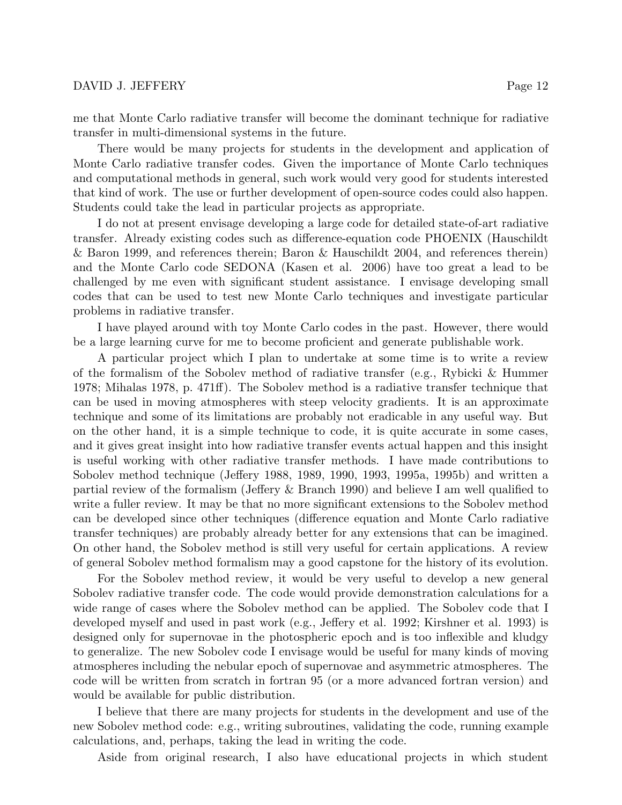me that Monte Carlo radiative transfer will become the dominant technique for radiative transfer in multi-dimensional systems in the future.

There would be many projects for students in the development and application of Monte Carlo radiative transfer codes. Given the importance of Monte Carlo techniques and computational methods in general, such work would very good for students interested that kind of work. The use or further development of open-source codes could also happen. Students could take the lead in particular projects as appropriate.

I do not at present envisage developing a large code for detailed state-of-art radiative transfer. Already existing codes such as difference-equation code PHOENIX (Hauschildt & Baron 1999, and references therein; Baron & Hauschildt 2004, and references therein) and the Monte Carlo code SEDONA (Kasen et al. 2006) have too great a lead to be challenged by me even with significant student assistance. I envisage developing small codes that can be used to test new Monte Carlo techniques and investigate particular problems in radiative transfer.

I have played around with toy Monte Carlo codes in the past. However, there would be a large learning curve for me to become proficient and generate publishable work.

A particular project which I plan to undertake at some time is to write a review of the formalism of the Sobolev method of radiative transfer (e.g., Rybicki & Hummer 1978; Mihalas 1978, p. 471ff). The Sobolev method is a radiative transfer technique that can be used in moving atmospheres with steep velocity gradients. It is an approximate technique and some of its limitations are probably not eradicable in any useful way. But on the other hand, it is a simple technique to code, it is quite accurate in some cases, and it gives great insight into how radiative transfer events actual happen and this insight is useful working with other radiative transfer methods. I have made contributions to Sobolev method technique (Jeffery 1988, 1989, 1990, 1993, 1995a, 1995b) and written a partial review of the formalism (Jeffery & Branch 1990) and believe I am well qualified to write a fuller review. It may be that no more significant extensions to the Sobolev method can be developed since other techniques (difference equation and Monte Carlo radiative transfer techniques) are probably already better for any extensions that can be imagined. On other hand, the Sobolev method is still very useful for certain applications. A review of general Sobolev method formalism may a good capstone for the history of its evolution.

For the Sobolev method review, it would be very useful to develop a new general Sobolev radiative transfer code. The code would provide demonstration calculations for a wide range of cases where the Sobolev method can be applied. The Sobolev code that I developed myself and used in past work (e.g., Jeffery et al. 1992; Kirshner et al. 1993) is designed only for supernovae in the photospheric epoch and is too inflexible and kludgy to generalize. The new Sobolev code I envisage would be useful for many kinds of moving atmospheres including the nebular epoch of supernovae and asymmetric atmospheres. The code will be written from scratch in fortran 95 (or a more advanced fortran version) and would be available for public distribution.

I believe that there are many projects for students in the development and use of the new Sobolev method code: e.g., writing subroutines, validating the code, running example calculations, and, perhaps, taking the lead in writing the code.

Aside from original research, I also have educational projects in which student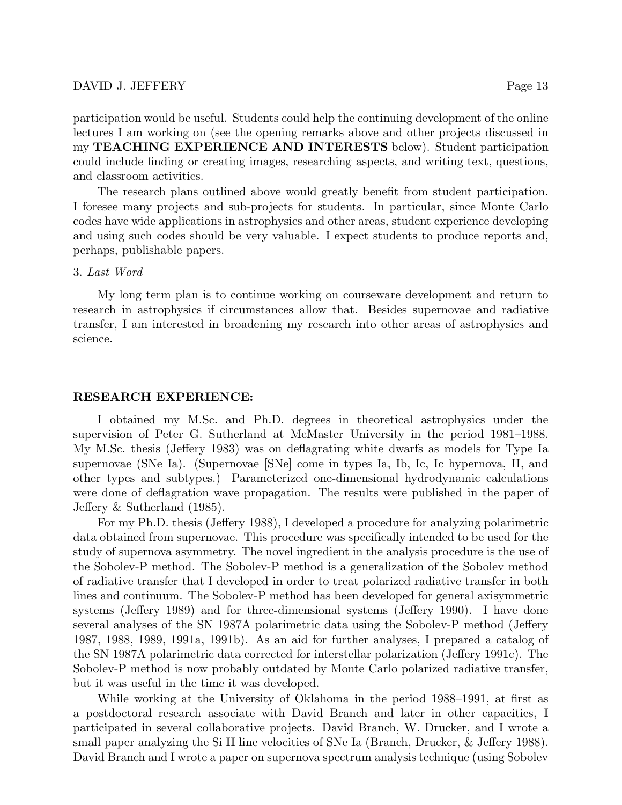participation would be useful. Students could help the continuing development of the online lectures I am working on (see the opening remarks above and other projects discussed in my TEACHING EXPERIENCE AND INTERESTS below). Student participation could include finding or creating images, researching aspects, and writing text, questions, and classroom activities.

The research plans outlined above would greatly benefit from student participation. I foresee many projects and sub-projects for students. In particular, since Monte Carlo codes have wide applications in astrophysics and other areas, student experience developing and using such codes should be very valuable. I expect students to produce reports and, perhaps, publishable papers.

### 3. Last Word

My long term plan is to continue working on courseware development and return to research in astrophysics if circumstances allow that. Besides supernovae and radiative transfer, I am interested in broadening my research into other areas of astrophysics and science.

### RESEARCH EXPERIENCE:

I obtained my M.Sc. and Ph.D. degrees in theoretical astrophysics under the supervision of Peter G. Sutherland at McMaster University in the period 1981–1988. My M.Sc. thesis (Jeffery 1983) was on deflagrating white dwarfs as models for Type Ia supernovae (SNe Ia). (Supernovae [SNe] come in types Ia, Ib, Ic, Ic hypernova, II, and other types and subtypes.) Parameterized one-dimensional hydrodynamic calculations were done of deflagration wave propagation. The results were published in the paper of Jeffery & Sutherland (1985).

For my Ph.D. thesis (Jeffery 1988), I developed a procedure for analyzing polarimetric data obtained from supernovae. This procedure was specifically intended to be used for the study of supernova asymmetry. The novel ingredient in the analysis procedure is the use of the Sobolev-P method. The Sobolev-P method is a generalization of the Sobolev method of radiative transfer that I developed in order to treat polarized radiative transfer in both lines and continuum. The Sobolev-P method has been developed for general axisymmetric systems (Jeffery 1989) and for three-dimensional systems (Jeffery 1990). I have done several analyses of the SN 1987A polarimetric data using the Sobolev-P method (Jeffery 1987, 1988, 1989, 1991a, 1991b). As an aid for further analyses, I prepared a catalog of the SN 1987A polarimetric data corrected for interstellar polarization (Jeffery 1991c). The Sobolev-P method is now probably outdated by Monte Carlo polarized radiative transfer, but it was useful in the time it was developed.

While working at the University of Oklahoma in the period 1988–1991, at first as a postdoctoral research associate with David Branch and later in other capacities, I participated in several collaborative projects. David Branch, W. Drucker, and I wrote a small paper analyzing the Si II line velocities of SNe Ia (Branch, Drucker, & Jeffery 1988). David Branch and I wrote a paper on supernova spectrum analysis technique (using Sobolev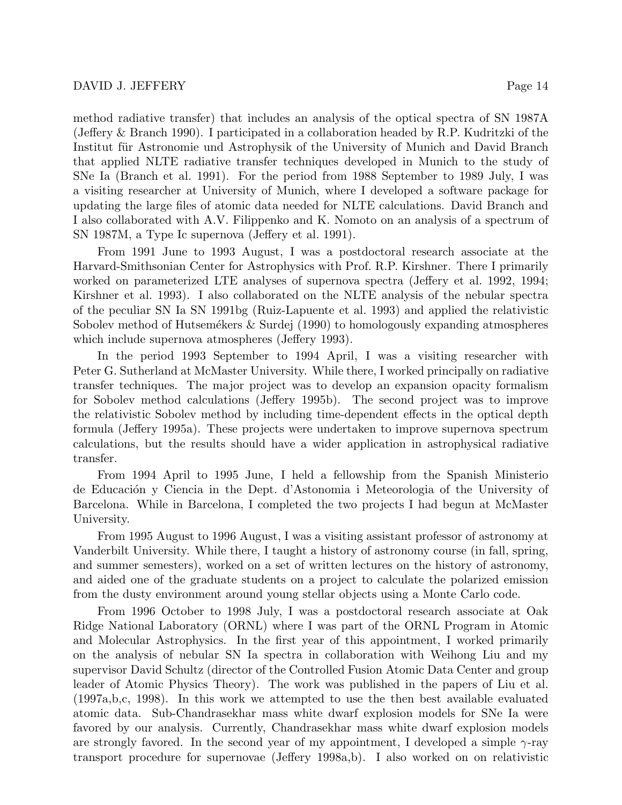method radiative transfer) that includes an analysis of the optical spectra of SN 1987A (Jeffery & Branch 1990). I participated in a collaboration headed by R.P. Kudritzki of the Institut für Astronomie und Astrophysik of the University of Munich and David Branch that applied NLTE radiative transfer techniques developed in Munich to the study of SNe Ia (Branch et al. 1991). For the period from 1988 September to 1989 July, I was a visiting researcher at University of Munich, where I developed a software package for updating the large files of atomic data needed for NLTE calculations. David Branch and I also collaborated with A.V. Filippenko and K. Nomoto on an analysis of a spectrum of SN 1987M, a Type Ic supernova (Jeffery et al. 1991).

From 1991 June to 1993 August, I was a postdoctoral research associate at the Harvard-Smithsonian Center for Astrophysics with Prof. R.P. Kirshner. There I primarily worked on parameterized LTE analyses of supernova spectra (Jeffery et al. 1992, 1994; Kirshner et al. 1993). I also collaborated on the NLTE analysis of the nebular spectra of the peculiar SN Ia SN 1991bg (Ruiz-Lapuente et al. 1993) and applied the relativistic Sobolev method of Hutsem $\acute{\text{e}}$ kers  $\&$  Surdej (1990) to homologously expanding atmospheres which include supernova atmospheres (Jeffery 1993).

In the period 1993 September to 1994 April, I was a visiting researcher with Peter G. Sutherland at McMaster University. While there, I worked principally on radiative transfer techniques. The major project was to develop an expansion opacity formalism for Sobolev method calculations (Jeffery 1995b). The second project was to improve the relativistic Sobolev method by including time-dependent effects in the optical depth formula (Jeffery 1995a). These projects were undertaken to improve supernova spectrum calculations, but the results should have a wider application in astrophysical radiative transfer.

From 1994 April to 1995 June, I held a fellowship from the Spanish Ministerio de Educación y Ciencia in the Dept. d'Astonomia i Meteorologia of the University of Barcelona. While in Barcelona, I completed the two projects I had begun at McMaster University.

From 1995 August to 1996 August, I was a visiting assistant professor of astronomy at Vanderbilt University. While there, I taught a history of astronomy course (in fall, spring, and summer semesters), worked on a set of written lectures on the history of astronomy, and aided one of the graduate students on a project to calculate the polarized emission from the dusty environment around young stellar objects using a Monte Carlo code.

From 1996 October to 1998 July, I was a postdoctoral research associate at Oak Ridge National Laboratory (ORNL) where I was part of the ORNL Program in Atomic and Molecular Astrophysics. In the first year of this appointment, I worked primarily on the analysis of nebular SN Ia spectra in collaboration with Weihong Liu and my supervisor David Schultz (director of the Controlled Fusion Atomic Data Center and group leader of Atomic Physics Theory). The work was published in the papers of Liu et al. (1997a,b,c, 1998). In this work we attempted to use the then best available evaluated atomic data. Sub-Chandrasekhar mass white dwarf explosion models for SNe Ia were favored by our analysis. Currently, Chandrasekhar mass white dwarf explosion models are strongly favored. In the second year of my appointment, I developed a simple  $\gamma$ -ray transport procedure for supernovae (Jeffery 1998a,b). I also worked on on relativistic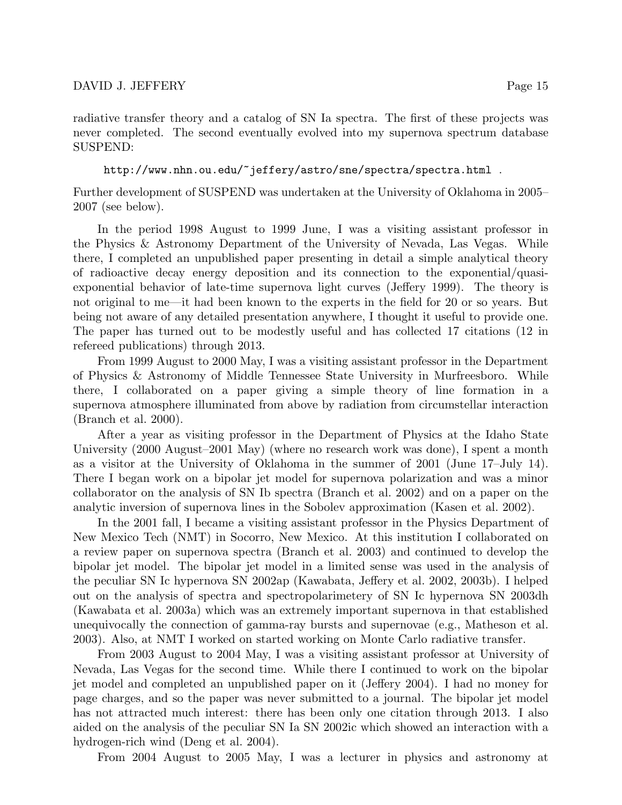http://www.nhn.ou.edu/~jeffery/astro/sne/spectra/spectra.html .

Further development of SUSPEND was undertaken at the University of Oklahoma in 2005– 2007 (see below).

In the period 1998 August to 1999 June, I was a visiting assistant professor in the Physics & Astronomy Department of the University of Nevada, Las Vegas. While there, I completed an unpublished paper presenting in detail a simple analytical theory of radioactive decay energy deposition and its connection to the exponential/quasiexponential behavior of late-time supernova light curves (Jeffery 1999). The theory is not original to me—it had been known to the experts in the field for 20 or so years. But being not aware of any detailed presentation anywhere, I thought it useful to provide one. The paper has turned out to be modestly useful and has collected 17 citations (12 in refereed publications) through 2013.

From 1999 August to 2000 May, I was a visiting assistant professor in the Department of Physics & Astronomy of Middle Tennessee State University in Murfreesboro. While there, I collaborated on a paper giving a simple theory of line formation in a supernova atmosphere illuminated from above by radiation from circumstellar interaction (Branch et al. 2000).

After a year as visiting professor in the Department of Physics at the Idaho State University (2000 August–2001 May) (where no research work was done), I spent a month as a visitor at the University of Oklahoma in the summer of 2001 (June 17–July 14). There I began work on a bipolar jet model for supernova polarization and was a minor collaborator on the analysis of SN Ib spectra (Branch et al. 2002) and on a paper on the analytic inversion of supernova lines in the Sobolev approximation (Kasen et al. 2002).

In the 2001 fall, I became a visiting assistant professor in the Physics Department of New Mexico Tech (NMT) in Socorro, New Mexico. At this institution I collaborated on a review paper on supernova spectra (Branch et al. 2003) and continued to develop the bipolar jet model. The bipolar jet model in a limited sense was used in the analysis of the peculiar SN Ic hypernova SN 2002ap (Kawabata, Jeffery et al. 2002, 2003b). I helped out on the analysis of spectra and spectropolarimetery of SN Ic hypernova SN 2003dh (Kawabata et al. 2003a) which was an extremely important supernova in that established unequivocally the connection of gamma-ray bursts and supernovae (e.g., Matheson et al. 2003). Also, at NMT I worked on started working on Monte Carlo radiative transfer.

From 2003 August to 2004 May, I was a visiting assistant professor at University of Nevada, Las Vegas for the second time. While there I continued to work on the bipolar jet model and completed an unpublished paper on it (Jeffery 2004). I had no money for page charges, and so the paper was never submitted to a journal. The bipolar jet model has not attracted much interest: there has been only one citation through 2013. I also aided on the analysis of the peculiar SN Ia SN 2002ic which showed an interaction with a hydrogen-rich wind (Deng et al. 2004).

From 2004 August to 2005 May, I was a lecturer in physics and astronomy at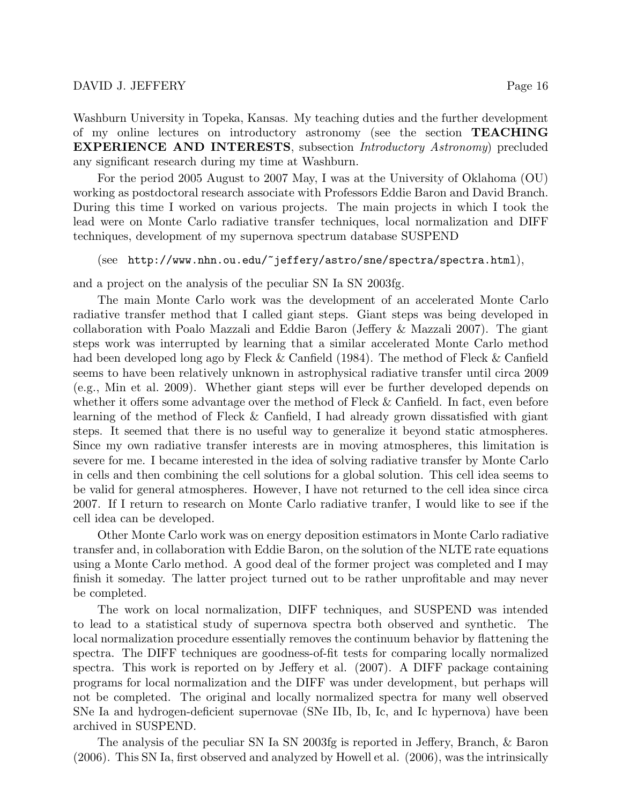For the period 2005 August to 2007 May, I was at the University of Oklahoma (OU) working as postdoctoral research associate with Professors Eddie Baron and David Branch. During this time I worked on various projects. The main projects in which I took the lead were on Monte Carlo radiative transfer techniques, local normalization and DIFF techniques, development of my supernova spectrum database SUSPEND

# (see http://www.nhn.ou.edu/~jeffery/astro/sne/spectra/spectra.html),

and a project on the analysis of the peculiar SN Ia SN 2003fg.

The main Monte Carlo work was the development of an accelerated Monte Carlo radiative transfer method that I called giant steps. Giant steps was being developed in collaboration with Poalo Mazzali and Eddie Baron (Jeffery & Mazzali 2007). The giant steps work was interrupted by learning that a similar accelerated Monte Carlo method had been developed long ago by Fleck & Canfield (1984). The method of Fleck & Canfield seems to have been relatively unknown in astrophysical radiative transfer until circa 2009 (e.g., Min et al. 2009). Whether giant steps will ever be further developed depends on whether it offers some advantage over the method of Fleck & Canfield. In fact, even before learning of the method of Fleck & Canfield, I had already grown dissatisfied with giant steps. It seemed that there is no useful way to generalize it beyond static atmospheres. Since my own radiative transfer interests are in moving atmospheres, this limitation is severe for me. I became interested in the idea of solving radiative transfer by Monte Carlo in cells and then combining the cell solutions for a global solution. This cell idea seems to be valid for general atmospheres. However, I have not returned to the cell idea since circa 2007. If I return to research on Monte Carlo radiative tranfer, I would like to see if the cell idea can be developed.

Other Monte Carlo work was on energy deposition estimators in Monte Carlo radiative transfer and, in collaboration with Eddie Baron, on the solution of the NLTE rate equations using a Monte Carlo method. A good deal of the former project was completed and I may finish it someday. The latter project turned out to be rather unprofitable and may never be completed.

The work on local normalization, DIFF techniques, and SUSPEND was intended to lead to a statistical study of supernova spectra both observed and synthetic. The local normalization procedure essentially removes the continuum behavior by flattening the spectra. The DIFF techniques are goodness-of-fit tests for comparing locally normalized spectra. This work is reported on by Jeffery et al. (2007). A DIFF package containing programs for local normalization and the DIFF was under development, but perhaps will not be completed. The original and locally normalized spectra for many well observed SNe Ia and hydrogen-deficient supernovae (SNe IIb, Ib, Ic, and Ic hypernova) have been archived in SUSPEND.

The analysis of the peculiar SN Ia SN 2003fg is reported in Jeffery, Branch, & Baron (2006). This SN Ia, first observed and analyzed by Howell et al. (2006), was the intrinsically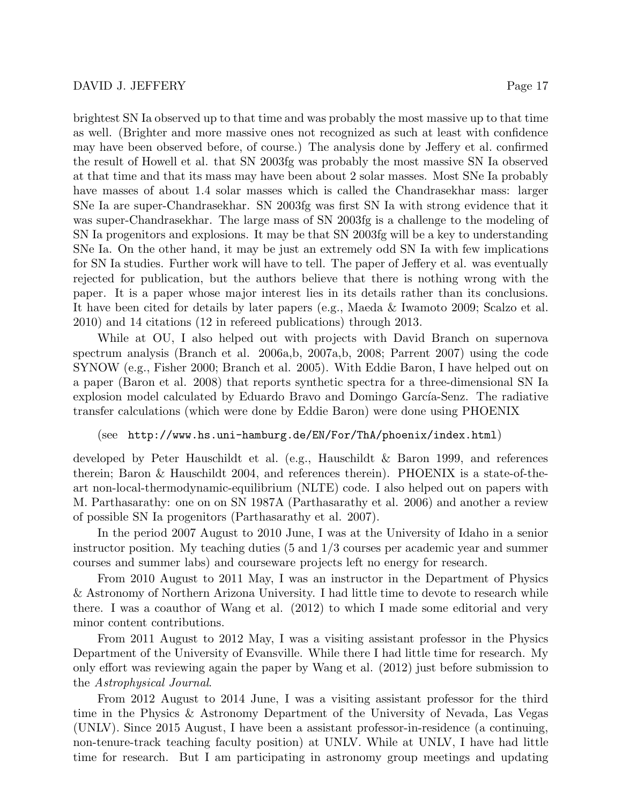brightest SN Ia observed up to that time and was probably the most massive up to that time as well. (Brighter and more massive ones not recognized as such at least with confidence may have been observed before, of course.) The analysis done by Jeffery et al. confirmed the result of Howell et al. that SN 2003fg was probably the most massive SN Ia observed at that time and that its mass may have been about 2 solar masses. Most SNe Ia probably have masses of about 1.4 solar masses which is called the Chandrasekhar mass: larger SNe Ia are super-Chandrasekhar. SN 2003fg was first SN Ia with strong evidence that it was super-Chandrasekhar. The large mass of SN 2003fg is a challenge to the modeling of SN Ia progenitors and explosions. It may be that SN 2003fg will be a key to understanding SNe Ia. On the other hand, it may be just an extremely odd SN Ia with few implications for SN Ia studies. Further work will have to tell. The paper of Jeffery et al. was eventually rejected for publication, but the authors believe that there is nothing wrong with the paper. It is a paper whose major interest lies in its details rather than its conclusions. It have been cited for details by later papers (e.g., Maeda & Iwamoto 2009; Scalzo et al. 2010) and 14 citations (12 in refereed publications) through 2013.

While at OU, I also helped out with projects with David Branch on supernova spectrum analysis (Branch et al. 2006a,b, 2007a,b, 2008; Parrent 2007) using the code SYNOW (e.g., Fisher 2000; Branch et al. 2005). With Eddie Baron, I have helped out on a paper (Baron et al. 2008) that reports synthetic spectra for a three-dimensional SN Ia explosion model calculated by Eduardo Bravo and Domingo García-Senz. The radiative transfer calculations (which were done by Eddie Baron) were done using PHOENIX

### (see http://www.hs.uni-hamburg.de/EN/For/ThA/phoenix/index.html)

developed by Peter Hauschildt et al. (e.g., Hauschildt & Baron 1999, and references therein; Baron & Hauschildt 2004, and references therein). PHOENIX is a state-of-theart non-local-thermodynamic-equilibrium (NLTE) code. I also helped out on papers with M. Parthasarathy: one on on SN 1987A (Parthasarathy et al. 2006) and another a review of possible SN Ia progenitors (Parthasarathy et al. 2007).

In the period 2007 August to 2010 June, I was at the University of Idaho in a senior instructor position. My teaching duties (5 and 1/3 courses per academic year and summer courses and summer labs) and courseware projects left no energy for research.

From 2010 August to 2011 May, I was an instructor in the Department of Physics & Astronomy of Northern Arizona University. I had little time to devote to research while there. I was a coauthor of Wang et al. (2012) to which I made some editorial and very minor content contributions.

From 2011 August to 2012 May, I was a visiting assistant professor in the Physics Department of the University of Evansville. While there I had little time for research. My only effort was reviewing again the paper by Wang et al. (2012) just before submission to the Astrophysical Journal.

From 2012 August to 2014 June, I was a visiting assistant professor for the third time in the Physics & Astronomy Department of the University of Nevada, Las Vegas (UNLV). Since 2015 August, I have been a assistant professor-in-residence (a continuing, non-tenure-track teaching faculty position) at UNLV. While at UNLV, I have had little time for research. But I am participating in astronomy group meetings and updating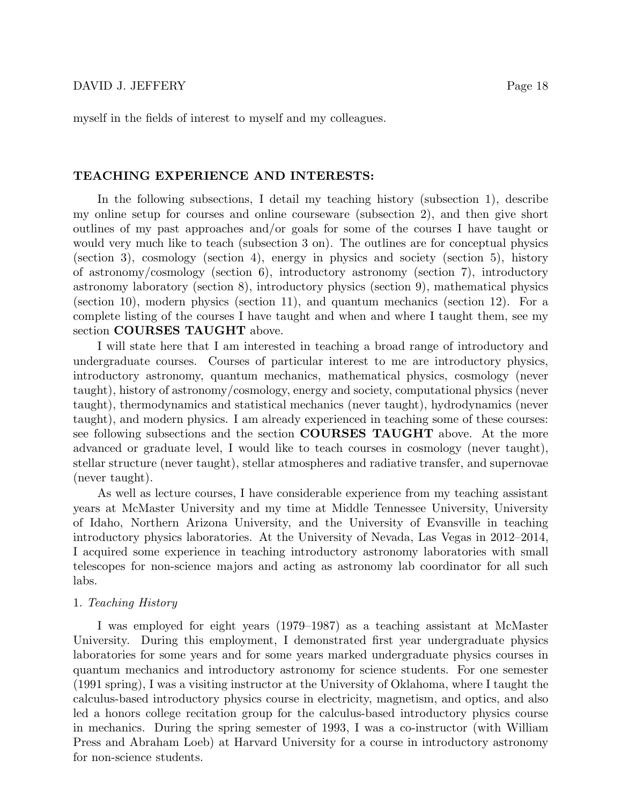#### TEACHING EXPERIENCE AND INTERESTS:

In the following subsections, I detail my teaching history (subsection 1), describe my online setup for courses and online courseware (subsection 2), and then give short outlines of my past approaches and/or goals for some of the courses I have taught or would very much like to teach (subsection 3 on). The outlines are for conceptual physics (section 3), cosmology (section 4), energy in physics and society (section 5), history of astronomy/cosmology (section 6), introductory astronomy (section 7), introductory astronomy laboratory (section 8), introductory physics (section 9), mathematical physics (section 10), modern physics (section 11), and quantum mechanics (section 12). For a complete listing of the courses I have taught and when and where I taught them, see my section COURSES TAUGHT above.

I will state here that I am interested in teaching a broad range of introductory and undergraduate courses. Courses of particular interest to me are introductory physics, introductory astronomy, quantum mechanics, mathematical physics, cosmology (never taught), history of astronomy/cosmology, energy and society, computational physics (never taught), thermodynamics and statistical mechanics (never taught), hydrodynamics (never taught), and modern physics. I am already experienced in teaching some of these courses: see following subsections and the section COURSES TAUGHT above. At the more advanced or graduate level, I would like to teach courses in cosmology (never taught), stellar structure (never taught), stellar atmospheres and radiative transfer, and supernovae (never taught).

As well as lecture courses, I have considerable experience from my teaching assistant years at McMaster University and my time at Middle Tennessee University, University of Idaho, Northern Arizona University, and the University of Evansville in teaching introductory physics laboratories. At the University of Nevada, Las Vegas in 2012–2014, I acquired some experience in teaching introductory astronomy laboratories with small telescopes for non-science majors and acting as astronomy lab coordinator for all such labs.

### 1. Teaching History

I was employed for eight years (1979–1987) as a teaching assistant at McMaster University. During this employment, I demonstrated first year undergraduate physics laboratories for some years and for some years marked undergraduate physics courses in quantum mechanics and introductory astronomy for science students. For one semester (1991 spring), I was a visiting instructor at the University of Oklahoma, where I taught the calculus-based introductory physics course in electricity, magnetism, and optics, and also led a honors college recitation group for the calculus-based introductory physics course in mechanics. During the spring semester of 1993, I was a co-instructor (with William Press and Abraham Loeb) at Harvard University for a course in introductory astronomy for non-science students.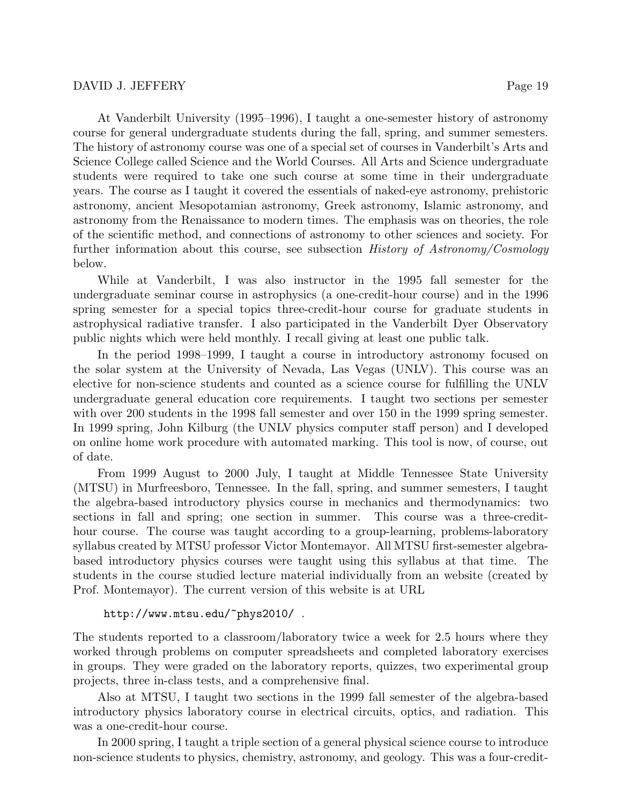At Vanderbilt University (1995–1996), I taught a one-semester history of astronomy course for general undergraduate students during the fall, spring, and summer semesters. The history of astronomy course was one of a special set of courses in Vanderbilt's Arts and Science College called Science and the World Courses. All Arts and Science undergraduate students were required to take one such course at some time in their undergraduate years. The course as I taught it covered the essentials of naked-eye astronomy, prehistoric astronomy, ancient Mesopotamian astronomy, Greek astronomy, Islamic astronomy, and astronomy from the Renaissance to modern times. The emphasis was on theories, the role of the scientific method, and connections of astronomy to other sciences and society. For further information about this course, see subsection History of Astronomy/Cosmology below.

While at Vanderbilt, I was also instructor in the 1995 fall semester for the undergraduate seminar course in astrophysics (a one-credit-hour course) and in the 1996 spring semester for a special topics three-credit-hour course for graduate students in astrophysical radiative transfer. I also participated in the Vanderbilt Dyer Observatory public nights which were held monthly. I recall giving at least one public talk.

In the period 1998–1999, I taught a course in introductory astronomy focused on the solar system at the University of Nevada, Las Vegas (UNLV). This course was an elective for non-science students and counted as a science course for fulfilling the UNLV undergraduate general education core requirements. I taught two sections per semester with over 200 students in the 1998 fall semester and over 150 in the 1999 spring semester. In 1999 spring, John Kilburg (the UNLV physics computer staff person) and I developed on online home work procedure with automated marking. This tool is now, of course, out of date.

From 1999 August to 2000 July, I taught at Middle Tennessee State University (MTSU) in Murfreesboro, Tennessee. In the fall, spring, and summer semesters, I taught the algebra-based introductory physics course in mechanics and thermodynamics: two sections in fall and spring; one section in summer. This course was a three-credithour course. The course was taught according to a group-learning, problems-laboratory syllabus created by MTSU professor Victor Montemayor. All MTSU first-semester algebrabased introductory physics courses were taught using this syllabus at that time. The students in the course studied lecture material individually from an website (created by Prof. Montemayor). The current version of this website is at URL

### http://www.mtsu.edu/~phys2010/ .

The students reported to a classroom/laboratory twice a week for 2.5 hours where they worked through problems on computer spreadsheets and completed laboratory exercises in groups. They were graded on the laboratory reports, quizzes, two experimental group projects, three in-class tests, and a comprehensive final.

Also at MTSU, I taught two sections in the 1999 fall semester of the algebra-based introductory physics laboratory course in electrical circuits, optics, and radiation. This was a one-credit-hour course.

In 2000 spring, I taught a triple section of a general physical science course to introduce non-science students to physics, chemistry, astronomy, and geology. This was a four-credit-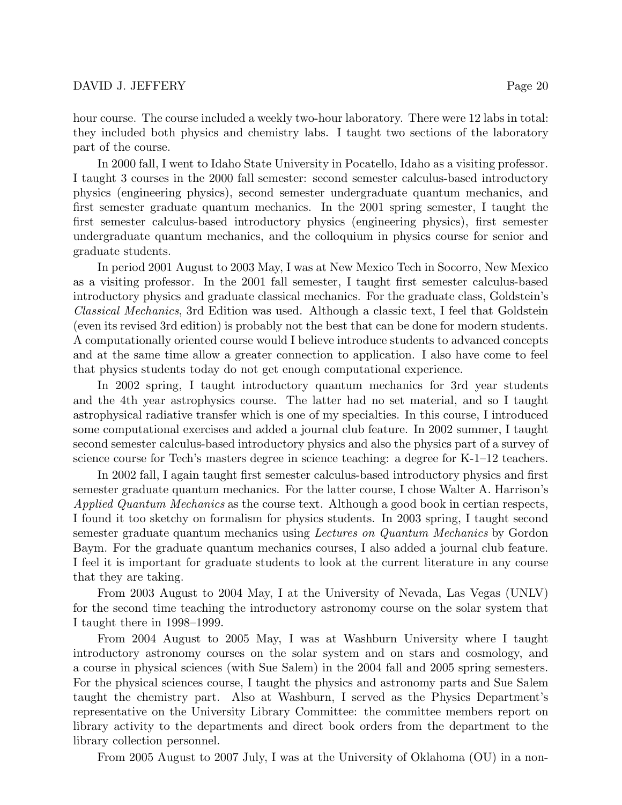hour course. The course included a weekly two-hour laboratory. There were 12 labs in total: they included both physics and chemistry labs. I taught two sections of the laboratory part of the course.

In 2000 fall, I went to Idaho State University in Pocatello, Idaho as a visiting professor. I taught 3 courses in the 2000 fall semester: second semester calculus-based introductory physics (engineering physics), second semester undergraduate quantum mechanics, and first semester graduate quantum mechanics. In the 2001 spring semester, I taught the first semester calculus-based introductory physics (engineering physics), first semester undergraduate quantum mechanics, and the colloquium in physics course for senior and graduate students.

In period 2001 August to 2003 May, I was at New Mexico Tech in Socorro, New Mexico as a visiting professor. In the 2001 fall semester, I taught first semester calculus-based introductory physics and graduate classical mechanics. For the graduate class, Goldstein's Classical Mechanics, 3rd Edition was used. Although a classic text, I feel that Goldstein (even its revised 3rd edition) is probably not the best that can be done for modern students. A computationally oriented course would I believe introduce students to advanced concepts and at the same time allow a greater connection to application. I also have come to feel that physics students today do not get enough computational experience.

In 2002 spring, I taught introductory quantum mechanics for 3rd year students and the 4th year astrophysics course. The latter had no set material, and so I taught astrophysical radiative transfer which is one of my specialties. In this course, I introduced some computational exercises and added a journal club feature. In 2002 summer, I taught second semester calculus-based introductory physics and also the physics part of a survey of science course for Tech's masters degree in science teaching: a degree for K-1–12 teachers.

In 2002 fall, I again taught first semester calculus-based introductory physics and first semester graduate quantum mechanics. For the latter course, I chose Walter A. Harrison's Applied Quantum Mechanics as the course text. Although a good book in certian respects, I found it too sketchy on formalism for physics students. In 2003 spring, I taught second semester graduate quantum mechanics using Lectures on Quantum Mechanics by Gordon Baym. For the graduate quantum mechanics courses, I also added a journal club feature. I feel it is important for graduate students to look at the current literature in any course that they are taking.

From 2003 August to 2004 May, I at the University of Nevada, Las Vegas (UNLV) for the second time teaching the introductory astronomy course on the solar system that I taught there in 1998–1999.

From 2004 August to 2005 May, I was at Washburn University where I taught introductory astronomy courses on the solar system and on stars and cosmology, and a course in physical sciences (with Sue Salem) in the 2004 fall and 2005 spring semesters. For the physical sciences course, I taught the physics and astronomy parts and Sue Salem taught the chemistry part. Also at Washburn, I served as the Physics Department's representative on the University Library Committee: the committee members report on library activity to the departments and direct book orders from the department to the library collection personnel.

From 2005 August to 2007 July, I was at the University of Oklahoma (OU) in a non-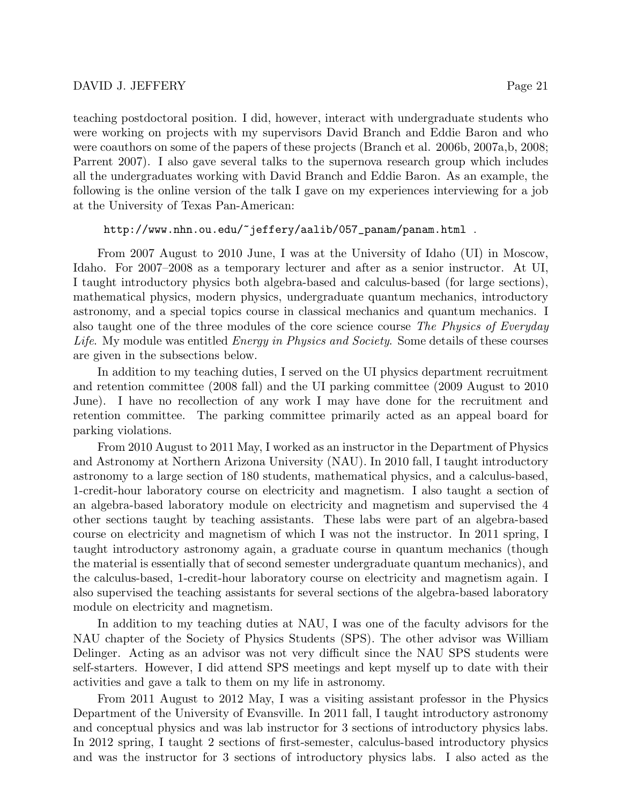teaching postdoctoral position. I did, however, interact with undergraduate students who were working on projects with my supervisors David Branch and Eddie Baron and who were coauthors on some of the papers of these projects (Branch et al. 2006b, 2007a,b, 2008; Parrent 2007). I also gave several talks to the supernova research group which includes all the undergraduates working with David Branch and Eddie Baron. As an example, the following is the online version of the talk I gave on my experiences interviewing for a job at the University of Texas Pan-American:

### http://www.nhn.ou.edu/~jeffery/aalib/057\_panam/panam.html .

From 2007 August to 2010 June, I was at the University of Idaho (UI) in Moscow, Idaho. For 2007–2008 as a temporary lecturer and after as a senior instructor. At UI, I taught introductory physics both algebra-based and calculus-based (for large sections), mathematical physics, modern physics, undergraduate quantum mechanics, introductory astronomy, and a special topics course in classical mechanics and quantum mechanics. I also taught one of the three modules of the core science course The Physics of Everyday Life. My module was entitled *Energy in Physics and Society*. Some details of these courses are given in the subsections below.

In addition to my teaching duties, I served on the UI physics department recruitment and retention committee (2008 fall) and the UI parking committee (2009 August to 2010 June). I have no recollection of any work I may have done for the recruitment and retention committee. The parking committee primarily acted as an appeal board for parking violations.

From 2010 August to 2011 May, I worked as an instructor in the Department of Physics and Astronomy at Northern Arizona University (NAU). In 2010 fall, I taught introductory astronomy to a large section of 180 students, mathematical physics, and a calculus-based, 1-credit-hour laboratory course on electricity and magnetism. I also taught a section of an algebra-based laboratory module on electricity and magnetism and supervised the 4 other sections taught by teaching assistants. These labs were part of an algebra-based course on electricity and magnetism of which I was not the instructor. In 2011 spring, I taught introductory astronomy again, a graduate course in quantum mechanics (though the material is essentially that of second semester undergraduate quantum mechanics), and the calculus-based, 1-credit-hour laboratory course on electricity and magnetism again. I also supervised the teaching assistants for several sections of the algebra-based laboratory module on electricity and magnetism.

In addition to my teaching duties at NAU, I was one of the faculty advisors for the NAU chapter of the Society of Physics Students (SPS). The other advisor was William Delinger. Acting as an advisor was not very difficult since the NAU SPS students were self-starters. However, I did attend SPS meetings and kept myself up to date with their activities and gave a talk to them on my life in astronomy.

From 2011 August to 2012 May, I was a visiting assistant professor in the Physics Department of the University of Evansville. In 2011 fall, I taught introductory astronomy and conceptual physics and was lab instructor for 3 sections of introductory physics labs. In 2012 spring, I taught 2 sections of first-semester, calculus-based introductory physics and was the instructor for 3 sections of introductory physics labs. I also acted as the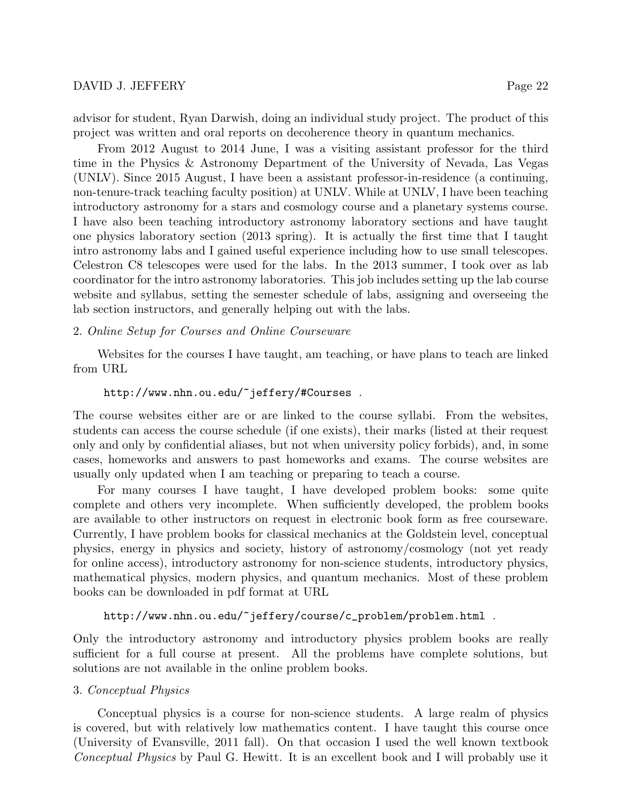advisor for student, Ryan Darwish, doing an individual study project. The product of this project was written and oral reports on decoherence theory in quantum mechanics.

From 2012 August to 2014 June, I was a visiting assistant professor for the third time in the Physics & Astronomy Department of the University of Nevada, Las Vegas (UNLV). Since 2015 August, I have been a assistant professor-in-residence (a continuing, non-tenure-track teaching faculty position) at UNLV. While at UNLV, I have been teaching introductory astronomy for a stars and cosmology course and a planetary systems course. I have also been teaching introductory astronomy laboratory sections and have taught one physics laboratory section (2013 spring). It is actually the first time that I taught intro astronomy labs and I gained useful experience including how to use small telescopes. Celestron C8 telescopes were used for the labs. In the 2013 summer, I took over as lab coordinator for the intro astronomy laboratories. This job includes setting up the lab course website and syllabus, setting the semester schedule of labs, assigning and overseeing the lab section instructors, and generally helping out with the labs.

### 2. Online Setup for Courses and Online Courseware

Websites for the courses I have taught, am teaching, or have plans to teach are linked from URL

### http://www.nhn.ou.edu/~jeffery/#Courses .

The course websites either are or are linked to the course syllabi. From the websites, students can access the course schedule (if one exists), their marks (listed at their request only and only by confidential aliases, but not when university policy forbids), and, in some cases, homeworks and answers to past homeworks and exams. The course websites are usually only updated when I am teaching or preparing to teach a course.

For many courses I have taught, I have developed problem books: some quite complete and others very incomplete. When sufficiently developed, the problem books are available to other instructors on request in electronic book form as free courseware. Currently, I have problem books for classical mechanics at the Goldstein level, conceptual physics, energy in physics and society, history of astronomy/cosmology (not yet ready for online access), introductory astronomy for non-science students, introductory physics, mathematical physics, modern physics, and quantum mechanics. Most of these problem books can be downloaded in pdf format at URL

#### http://www.nhn.ou.edu/~jeffery/course/c\_problem/problem.html .

Only the introductory astronomy and introductory physics problem books are really sufficient for a full course at present. All the problems have complete solutions, but solutions are not available in the online problem books.

### 3. Conceptual Physics

Conceptual physics is a course for non-science students. A large realm of physics is covered, but with relatively low mathematics content. I have taught this course once (University of Evansville, 2011 fall). On that occasion I used the well known textbook Conceptual Physics by Paul G. Hewitt. It is an excellent book and I will probably use it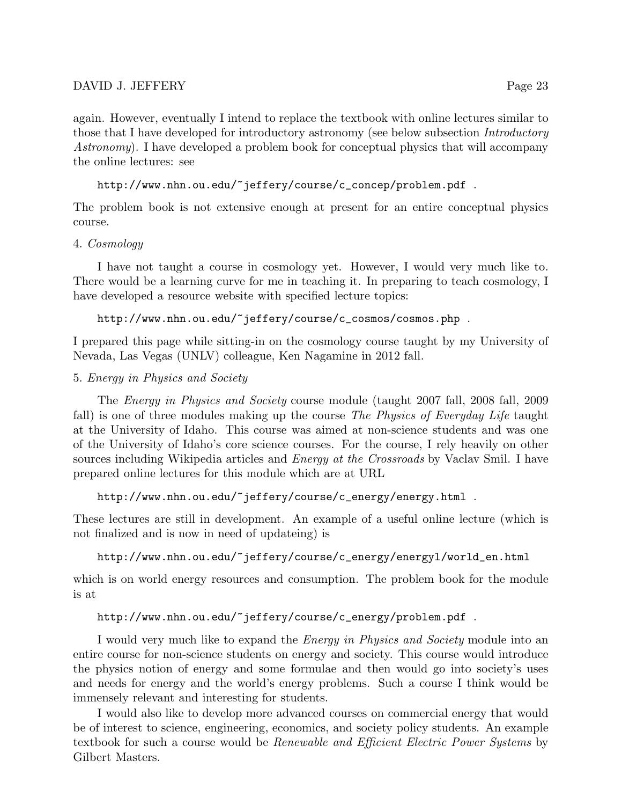again. However, eventually I intend to replace the textbook with online lectures similar to those that I have developed for introductory astronomy (see below subsection *Introductory* Astronomy). I have developed a problem book for conceptual physics that will accompany the online lectures: see

http://www.nhn.ou.edu/~jeffery/course/c\_concep/problem.pdf .

The problem book is not extensive enough at present for an entire conceptual physics course.

4. Cosmology

I have not taught a course in cosmology yet. However, I would very much like to. There would be a learning curve for me in teaching it. In preparing to teach cosmology, I have developed a resource website with specified lecture topics:

http://www.nhn.ou.edu/~jeffery/course/c\_cosmos/cosmos.php .

I prepared this page while sitting-in on the cosmology course taught by my University of Nevada, Las Vegas (UNLV) colleague, Ken Nagamine in 2012 fall.

## 5. Energy in Physics and Society

The Energy in Physics and Society course module (taught 2007 fall, 2008 fall, 2009 fall) is one of three modules making up the course The Physics of Everyday Life taught at the University of Idaho. This course was aimed at non-science students and was one of the University of Idaho's core science courses. For the course, I rely heavily on other sources including Wikipedia articles and *Energy at the Crossroads* by Vaclav Smil. I have prepared online lectures for this module which are at URL

http://www.nhn.ou.edu/~jeffery/course/c\_energy/energy.html .

These lectures are still in development. An example of a useful online lecture (which is not finalized and is now in need of updateing) is

http://www.nhn.ou.edu/~jeffery/course/c\_energy/energyl/world\_en.html

which is on world energy resources and consumption. The problem book for the module is at

# http://www.nhn.ou.edu/~jeffery/course/c\_energy/problem.pdf .

I would very much like to expand the *Energy in Physics and Society* module into an entire course for non-science students on energy and society. This course would introduce the physics notion of energy and some formulae and then would go into society's uses and needs for energy and the world's energy problems. Such a course I think would be immensely relevant and interesting for students.

I would also like to develop more advanced courses on commercial energy that would be of interest to science, engineering, economics, and society policy students. An example textbook for such a course would be Renewable and Efficient Electric Power Systems by Gilbert Masters.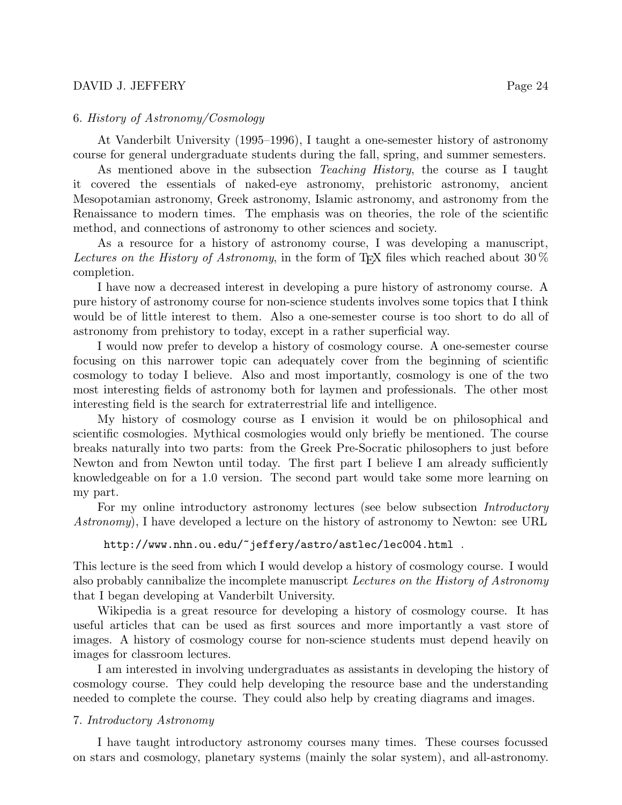### 6. History of Astronomy/Cosmology

At Vanderbilt University (1995–1996), I taught a one-semester history of astronomy course for general undergraduate students during the fall, spring, and summer semesters.

As mentioned above in the subsection *Teaching History*, the course as I taught it covered the essentials of naked-eye astronomy, prehistoric astronomy, ancient Mesopotamian astronomy, Greek astronomy, Islamic astronomy, and astronomy from the Renaissance to modern times. The emphasis was on theories, the role of the scientific method, and connections of astronomy to other sciences and society.

As a resource for a history of astronomy course, I was developing a manuscript, Lectures on the History of Astronomy, in the form of T<sub>E</sub>X files which reached about 30  $\%$ completion.

I have now a decreased interest in developing a pure history of astronomy course. A pure history of astronomy course for non-science students involves some topics that I think would be of little interest to them. Also a one-semester course is too short to do all of astronomy from prehistory to today, except in a rather superficial way.

I would now prefer to develop a history of cosmology course. A one-semester course focusing on this narrower topic can adequately cover from the beginning of scientific cosmology to today I believe. Also and most importantly, cosmology is one of the two most interesting fields of astronomy both for laymen and professionals. The other most interesting field is the search for extraterrestrial life and intelligence.

My history of cosmology course as I envision it would be on philosophical and scientific cosmologies. Mythical cosmologies would only briefly be mentioned. The course breaks naturally into two parts: from the Greek Pre-Socratic philosophers to just before Newton and from Newton until today. The first part I believe I am already sufficiently knowledgeable on for a 1.0 version. The second part would take some more learning on my part.

For my online introductory astronomy lectures (see below subsection *Introductory* Astronomy), I have developed a lecture on the history of astronomy to Newton: see URL

### http://www.nhn.ou.edu/~jeffery/astro/astlec/lec004.html .

This lecture is the seed from which I would develop a history of cosmology course. I would also probably cannibalize the incomplete manuscript Lectures on the History of Astronomy that I began developing at Vanderbilt University.

Wikipedia is a great resource for developing a history of cosmology course. It has useful articles that can be used as first sources and more importantly a vast store of images. A history of cosmology course for non-science students must depend heavily on images for classroom lectures.

I am interested in involving undergraduates as assistants in developing the history of cosmology course. They could help developing the resource base and the understanding needed to complete the course. They could also help by creating diagrams and images.

### 7. Introductory Astronomy

I have taught introductory astronomy courses many times. These courses focussed on stars and cosmology, planetary systems (mainly the solar system), and all-astronomy.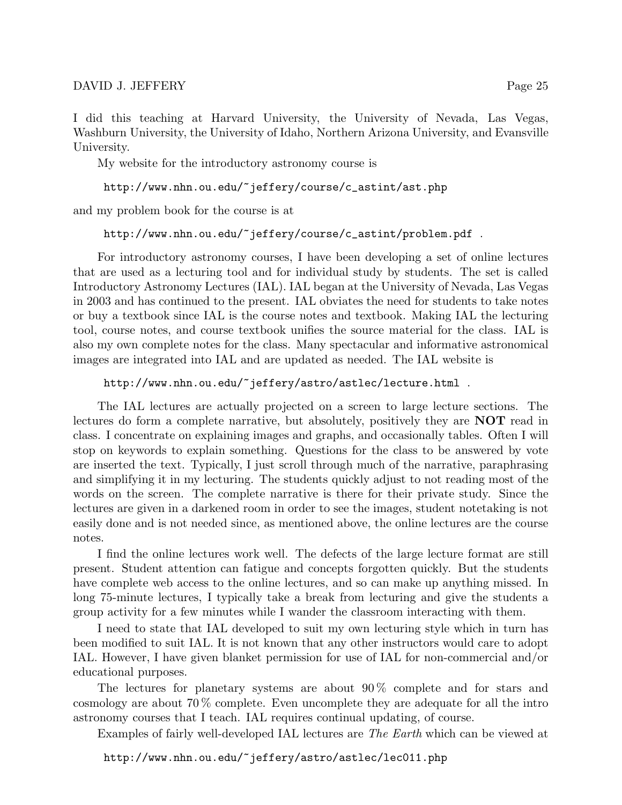I did this teaching at Harvard University, the University of Nevada, Las Vegas, Washburn University, the University of Idaho, Northern Arizona University, and Evansville University.

My website for the introductory astronomy course is

http://www.nhn.ou.edu/~jeffery/course/c\_astint/ast.php

and my problem book for the course is at

### http://www.nhn.ou.edu/~jeffery/course/c\_astint/problem.pdf .

For introductory astronomy courses, I have been developing a set of online lectures that are used as a lecturing tool and for individual study by students. The set is called Introductory Astronomy Lectures (IAL). IAL began at the University of Nevada, Las Vegas in 2003 and has continued to the present. IAL obviates the need for students to take notes or buy a textbook since IAL is the course notes and textbook. Making IAL the lecturing tool, course notes, and course textbook unifies the source material for the class. IAL is also my own complete notes for the class. Many spectacular and informative astronomical images are integrated into IAL and are updated as needed. The IAL website is

http://www.nhn.ou.edu/~jeffery/astro/astlec/lecture.html .

The IAL lectures are actually projected on a screen to large lecture sections. The lectures do form a complete narrative, but absolutely, positively they are NOT read in class. I concentrate on explaining images and graphs, and occasionally tables. Often I will stop on keywords to explain something. Questions for the class to be answered by vote are inserted the text. Typically, I just scroll through much of the narrative, paraphrasing and simplifying it in my lecturing. The students quickly adjust to not reading most of the words on the screen. The complete narrative is there for their private study. Since the lectures are given in a darkened room in order to see the images, student notetaking is not easily done and is not needed since, as mentioned above, the online lectures are the course notes.

I find the online lectures work well. The defects of the large lecture format are still present. Student attention can fatigue and concepts forgotten quickly. But the students have complete web access to the online lectures, and so can make up anything missed. In long 75-minute lectures, I typically take a break from lecturing and give the students a group activity for a few minutes while I wander the classroom interacting with them.

I need to state that IAL developed to suit my own lecturing style which in turn has been modified to suit IAL. It is not known that any other instructors would care to adopt IAL. However, I have given blanket permission for use of IAL for non-commercial and/or educational purposes.

The lectures for planetary systems are about 90 % complete and for stars and cosmology are about 70 % complete. Even uncomplete they are adequate for all the intro astronomy courses that I teach. IAL requires continual updating, of course.

Examples of fairly well-developed IAL lectures are The Earth which can be viewed at

http://www.nhn.ou.edu/~jeffery/astro/astlec/lec011.php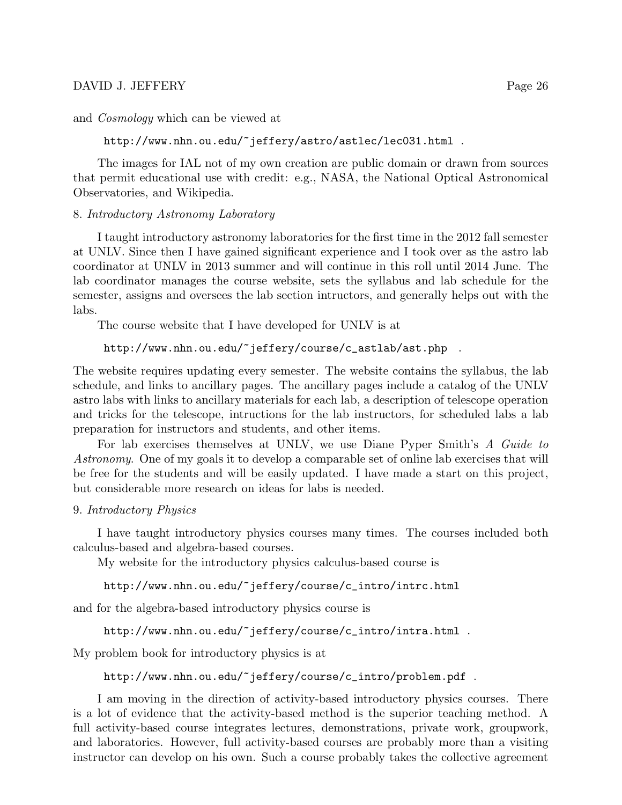and Cosmology which can be viewed at

http://www.nhn.ou.edu/~jeffery/astro/astlec/lec031.html .

The images for IAL not of my own creation are public domain or drawn from sources that permit educational use with credit: e.g., NASA, the National Optical Astronomical Observatories, and Wikipedia.

## 8. Introductory Astronomy Laboratory

I taught introductory astronomy laboratories for the first time in the 2012 fall semester at UNLV. Since then I have gained significant experience and I took over as the astro lab coordinator at UNLV in 2013 summer and will continue in this roll until 2014 June. The lab coordinator manages the course website, sets the syllabus and lab schedule for the semester, assigns and oversees the lab section intructors, and generally helps out with the labs.

The course website that I have developed for UNLV is at

### http://www.nhn.ou.edu/~jeffery/course/c\_astlab/ast.php .

The website requires updating every semester. The website contains the syllabus, the lab schedule, and links to ancillary pages. The ancillary pages include a catalog of the UNLV astro labs with links to ancillary materials for each lab, a description of telescope operation and tricks for the telescope, intructions for the lab instructors, for scheduled labs a lab preparation for instructors and students, and other items.

For lab exercises themselves at UNLV, we use Diane Pyper Smith's A Guide to Astronomy. One of my goals it to develop a comparable set of online lab exercises that will be free for the students and will be easily updated. I have made a start on this project, but considerable more research on ideas for labs is needed.

### 9. Introductory Physics

I have taught introductory physics courses many times. The courses included both calculus-based and algebra-based courses.

My website for the introductory physics calculus-based course is

### http://www.nhn.ou.edu/~jeffery/course/c\_intro/intrc.html

and for the algebra-based introductory physics course is

```
http://www.nhn.ou.edu/~jeffery/course/c_intro/intra.html .
```
My problem book for introductory physics is at

```
http://www.nhn.ou.edu/~jeffery/course/c_intro/problem.pdf .
```
I am moving in the direction of activity-based introductory physics courses. There is a lot of evidence that the activity-based method is the superior teaching method. A full activity-based course integrates lectures, demonstrations, private work, groupwork, and laboratories. However, full activity-based courses are probably more than a visiting instructor can develop on his own. Such a course probably takes the collective agreement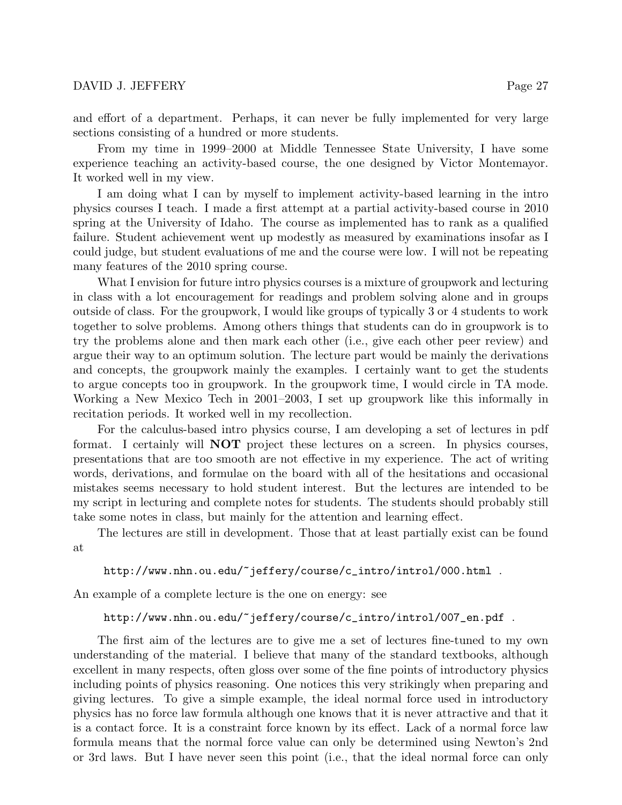and effort of a department. Perhaps, it can never be fully implemented for very large sections consisting of a hundred or more students.

From my time in 1999–2000 at Middle Tennessee State University, I have some experience teaching an activity-based course, the one designed by Victor Montemayor. It worked well in my view.

I am doing what I can by myself to implement activity-based learning in the intro physics courses I teach. I made a first attempt at a partial activity-based course in 2010 spring at the University of Idaho. The course as implemented has to rank as a qualified failure. Student achievement went up modestly as measured by examinations insofar as I could judge, but student evaluations of me and the course were low. I will not be repeating many features of the 2010 spring course.

What I envision for future intro physics courses is a mixture of groupwork and lecturing in class with a lot encouragement for readings and problem solving alone and in groups outside of class. For the groupwork, I would like groups of typically 3 or 4 students to work together to solve problems. Among others things that students can do in groupwork is to try the problems alone and then mark each other (i.e., give each other peer review) and argue their way to an optimum solution. The lecture part would be mainly the derivations and concepts, the groupwork mainly the examples. I certainly want to get the students to argue concepts too in groupwork. In the groupwork time, I would circle in TA mode. Working a New Mexico Tech in 2001–2003, I set up groupwork like this informally in recitation periods. It worked well in my recollection.

For the calculus-based intro physics course, I am developing a set of lectures in pdf format. I certainly will NOT project these lectures on a screen. In physics courses, presentations that are too smooth are not effective in my experience. The act of writing words, derivations, and formulae on the board with all of the hesitations and occasional mistakes seems necessary to hold student interest. But the lectures are intended to be my script in lecturing and complete notes for students. The students should probably still take some notes in class, but mainly for the attention and learning effect.

The lectures are still in development. Those that at least partially exist can be found at

http://www.nhn.ou.edu/~jeffery/course/c\_intro/introl/000.html .

An example of a complete lecture is the one on energy: see

### http://www.nhn.ou.edu/~jeffery/course/c\_intro/introl/007\_en.pdf .

The first aim of the lectures are to give me a set of lectures fine-tuned to my own understanding of the material. I believe that many of the standard textbooks, although excellent in many respects, often gloss over some of the fine points of introductory physics including points of physics reasoning. One notices this very strikingly when preparing and giving lectures. To give a simple example, the ideal normal force used in introductory physics has no force law formula although one knows that it is never attractive and that it is a contact force. It is a constraint force known by its effect. Lack of a normal force law formula means that the normal force value can only be determined using Newton's 2nd or 3rd laws. But I have never seen this point (i.e., that the ideal normal force can only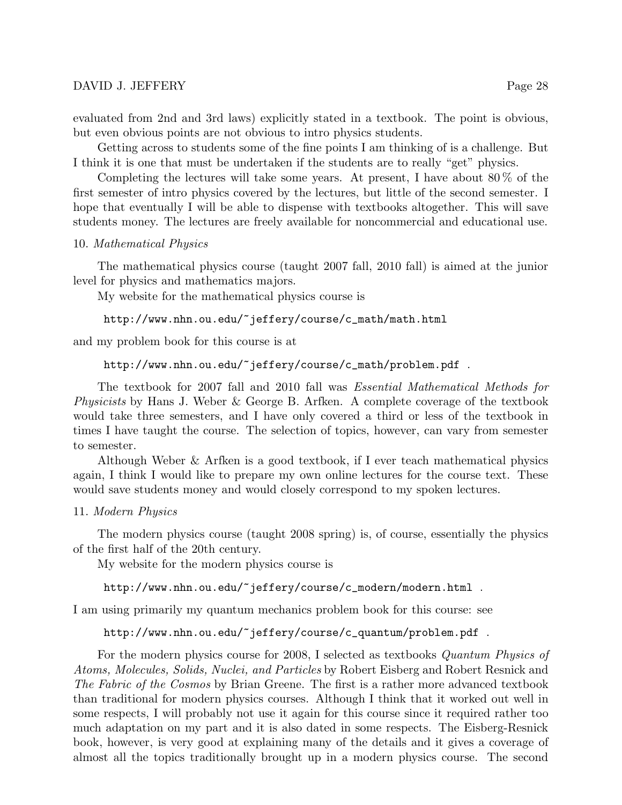Getting across to students some of the fine points I am thinking of is a challenge. But I think it is one that must be undertaken if the students are to really "get" physics.

Completing the lectures will take some years. At present, I have about  $80\%$  of the first semester of intro physics covered by the lectures, but little of the second semester. I hope that eventually I will be able to dispense with textbooks altogether. This will save students money. The lectures are freely available for noncommercial and educational use.

## 10. Mathematical Physics

The mathematical physics course (taught 2007 fall, 2010 fall) is aimed at the junior level for physics and mathematics majors.

My website for the mathematical physics course is

```
http://www.nhn.ou.edu/~jeffery/course/c_math/math.html
```
and my problem book for this course is at

```
http://www.nhn.ou.edu/~jeffery/course/c_math/problem.pdf .
```
The textbook for 2007 fall and 2010 fall was Essential Mathematical Methods for Physicists by Hans J. Weber & George B. Arfken. A complete coverage of the textbook would take three semesters, and I have only covered a third or less of the textbook in times I have taught the course. The selection of topics, however, can vary from semester to semester.

Although Weber & Arfken is a good textbook, if I ever teach mathematical physics again, I think I would like to prepare my own online lectures for the course text. These would save students money and would closely correspond to my spoken lectures.

# 11. Modern Physics

The modern physics course (taught 2008 spring) is, of course, essentially the physics of the first half of the 20th century.

My website for the modern physics course is

http://www.nhn.ou.edu/~jeffery/course/c\_modern/modern.html .

I am using primarily my quantum mechanics problem book for this course: see

# http://www.nhn.ou.edu/~jeffery/course/c\_quantum/problem.pdf .

For the modern physics course for 2008, I selected as textbooks Quantum Physics of Atoms, Molecules, Solids, Nuclei, and Particles by Robert Eisberg and Robert Resnick and The Fabric of the Cosmos by Brian Greene. The first is a rather more advanced textbook than traditional for modern physics courses. Although I think that it worked out well in some respects, I will probably not use it again for this course since it required rather too much adaptation on my part and it is also dated in some respects. The Eisberg-Resnick book, however, is very good at explaining many of the details and it gives a coverage of almost all the topics traditionally brought up in a modern physics course. The second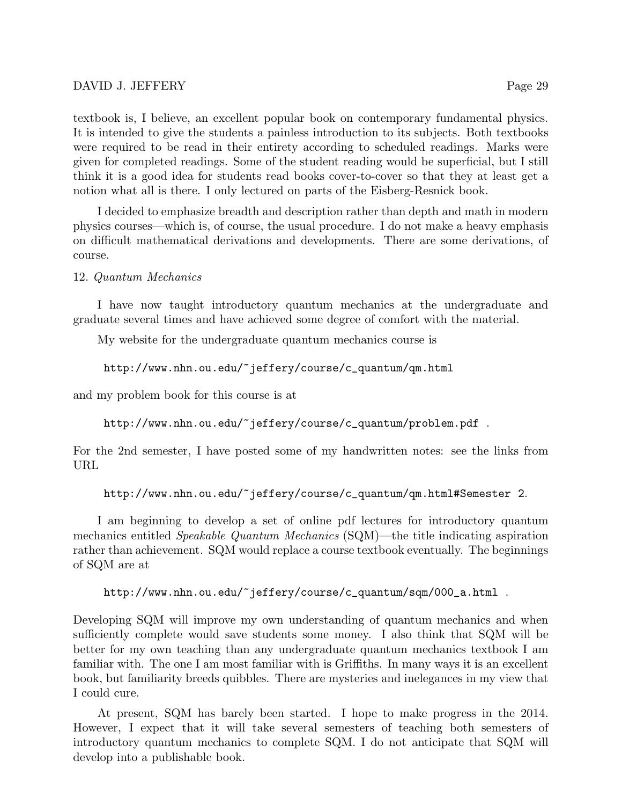textbook is, I believe, an excellent popular book on contemporary fundamental physics. It is intended to give the students a painless introduction to its subjects. Both textbooks were required to be read in their entirety according to scheduled readings. Marks were given for completed readings. Some of the student reading would be superficial, but I still think it is a good idea for students read books cover-to-cover so that they at least get a notion what all is there. I only lectured on parts of the Eisberg-Resnick book.

I decided to emphasize breadth and description rather than depth and math in modern physics courses—which is, of course, the usual procedure. I do not make a heavy emphasis on difficult mathematical derivations and developments. There are some derivations, of course.

## 12. Quantum Mechanics

I have now taught introductory quantum mechanics at the undergraduate and graduate several times and have achieved some degree of comfort with the material.

My website for the undergraduate quantum mechanics course is

```
http://www.nhn.ou.edu/~jeffery/course/c_quantum/qm.html
```
and my problem book for this course is at

http://www.nhn.ou.edu/~jeffery/course/c\_quantum/problem.pdf .

For the 2nd semester, I have posted some of my handwritten notes: see the links from URL

```
http://www.nhn.ou.edu/~jeffery/course/c_quantum/qm.html#Semester 2.
```
I am beginning to develop a set of online pdf lectures for introductory quantum mechanics entitled Speakable Quantum Mechanics (SQM)—the title indicating aspiration rather than achievement. SQM would replace a course textbook eventually. The beginnings of SQM are at

```
http://www.nhn.ou.edu/~jeffery/course/c_quantum/sqm/000_a.html .
```
Developing SQM will improve my own understanding of quantum mechanics and when sufficiently complete would save students some money. I also think that SQM will be better for my own teaching than any undergraduate quantum mechanics textbook I am familiar with. The one I am most familiar with is Griffiths. In many ways it is an excellent book, but familiarity breeds quibbles. There are mysteries and inelegances in my view that I could cure.

At present, SQM has barely been started. I hope to make progress in the 2014. However, I expect that it will take several semesters of teaching both semesters of introductory quantum mechanics to complete SQM. I do not anticipate that SQM will develop into a publishable book.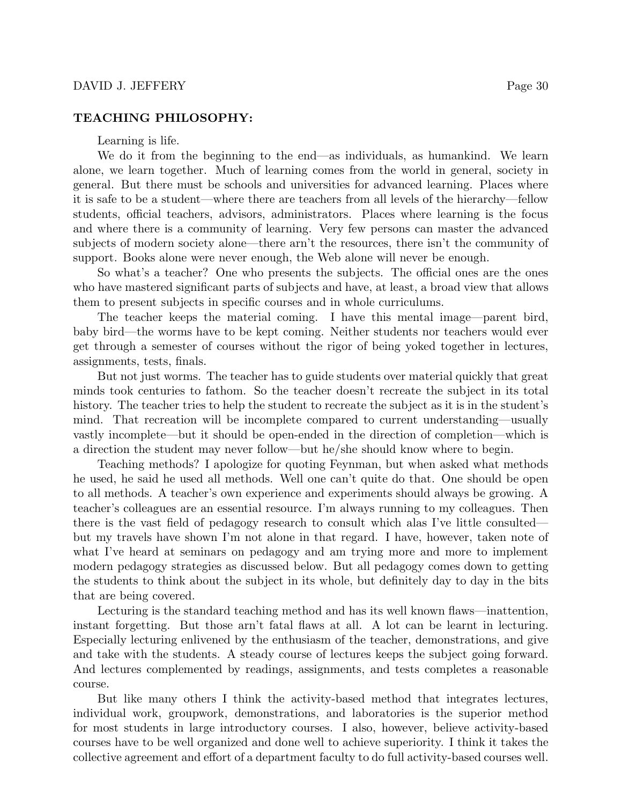### TEACHING PHILOSOPHY:

Learning is life.

We do it from the beginning to the end—as individuals, as humankind. We learn alone, we learn together. Much of learning comes from the world in general, society in general. But there must be schools and universities for advanced learning. Places where it is safe to be a student—where there are teachers from all levels of the hierarchy—fellow students, official teachers, advisors, administrators. Places where learning is the focus and where there is a community of learning. Very few persons can master the advanced subjects of modern society alone—there arn't the resources, there isn't the community of support. Books alone were never enough, the Web alone will never be enough.

So what's a teacher? One who presents the subjects. The official ones are the ones who have mastered significant parts of subjects and have, at least, a broad view that allows them to present subjects in specific courses and in whole curriculums.

The teacher keeps the material coming. I have this mental image—parent bird, baby bird—the worms have to be kept coming. Neither students nor teachers would ever get through a semester of courses without the rigor of being yoked together in lectures, assignments, tests, finals.

But not just worms. The teacher has to guide students over material quickly that great minds took centuries to fathom. So the teacher doesn't recreate the subject in its total history. The teacher tries to help the student to recreate the subject as it is in the student's mind. That recreation will be incomplete compared to current understanding—usually vastly incomplete—but it should be open-ended in the direction of completion—which is a direction the student may never follow—but he/she should know where to begin.

Teaching methods? I apologize for quoting Feynman, but when asked what methods he used, he said he used all methods. Well one can't quite do that. One should be open to all methods. A teacher's own experience and experiments should always be growing. A teacher's colleagues are an essential resource. I'm always running to my colleagues. Then there is the vast field of pedagogy research to consult which alas I've little consulted but my travels have shown I'm not alone in that regard. I have, however, taken note of what I've heard at seminars on pedagogy and am trying more and more to implement modern pedagogy strategies as discussed below. But all pedagogy comes down to getting the students to think about the subject in its whole, but definitely day to day in the bits that are being covered.

Lecturing is the standard teaching method and has its well known flaws—inattention, instant forgetting. But those arn't fatal flaws at all. A lot can be learnt in lecturing. Especially lecturing enlivened by the enthusiasm of the teacher, demonstrations, and give and take with the students. A steady course of lectures keeps the subject going forward. And lectures complemented by readings, assignments, and tests completes a reasonable course.

But like many others I think the activity-based method that integrates lectures, individual work, groupwork, demonstrations, and laboratories is the superior method for most students in large introductory courses. I also, however, believe activity-based courses have to be well organized and done well to achieve superiority. I think it takes the collective agreement and effort of a department faculty to do full activity-based courses well.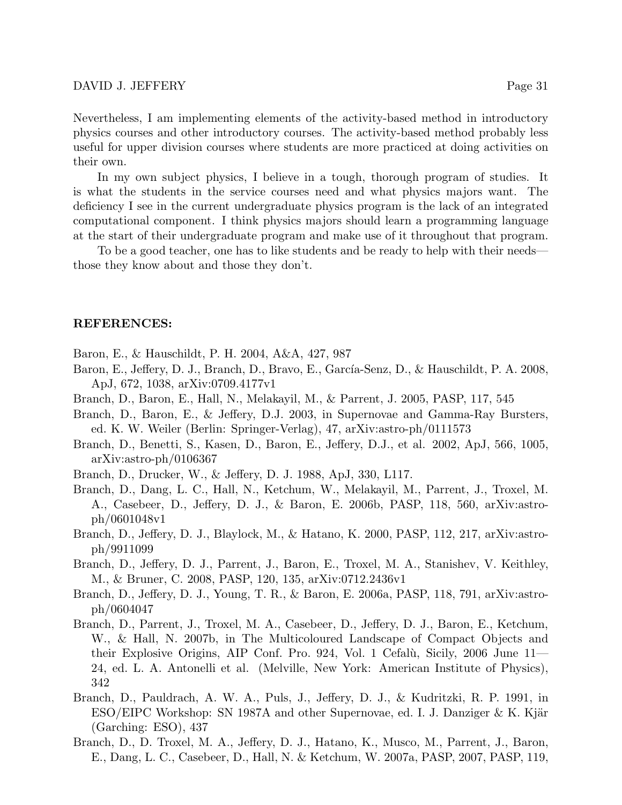Nevertheless, I am implementing elements of the activity-based method in introductory physics courses and other introductory courses. The activity-based method probably less useful for upper division courses where students are more practiced at doing activities on their own.

In my own subject physics, I believe in a tough, thorough program of studies. It is what the students in the service courses need and what physics majors want. The deficiency I see in the current undergraduate physics program is the lack of an integrated computational component. I think physics majors should learn a programming language at the start of their undergraduate program and make use of it throughout that program.

To be a good teacher, one has to like students and be ready to help with their needs those they know about and those they don't.

### REFERENCES:

Baron, E., & Hauschildt, P. H. 2004, A&A, 427, 987

- Baron, E., Jeffery, D. J., Branch, D., Bravo, E., García-Senz, D., & Hauschildt, P. A. 2008, ApJ, 672, 1038, arXiv:0709.4177v1
- Branch, D., Baron, E., Hall, N., Melakayil, M., & Parrent, J. 2005, PASP, 117, 545
- Branch, D., Baron, E., & Jeffery, D.J. 2003, in Supernovae and Gamma-Ray Bursters, ed. K. W. Weiler (Berlin: Springer-Verlag), 47, arXiv:astro-ph/0111573
- Branch, D., Benetti, S., Kasen, D., Baron, E., Jeffery, D.J., et al. 2002, ApJ, 566, 1005, arXiv:astro-ph/0106367
- Branch, D., Drucker, W., & Jeffery, D. J. 1988, ApJ, 330, L117.
- Branch, D., Dang, L. C., Hall, N., Ketchum, W., Melakayil, M., Parrent, J., Troxel, M. A., Casebeer, D., Jeffery, D. J., & Baron, E. 2006b, PASP, 118, 560, arXiv:astroph/0601048v1
- Branch, D., Jeffery, D. J., Blaylock, M., & Hatano, K. 2000, PASP, 112, 217, arXiv:astroph/9911099
- Branch, D., Jeffery, D. J., Parrent, J., Baron, E., Troxel, M. A., Stanishev, V. Keithley, M., & Bruner, C. 2008, PASP, 120, 135, arXiv:0712.2436v1
- Branch, D., Jeffery, D. J., Young, T. R., & Baron, E. 2006a, PASP, 118, 791, arXiv:astroph/0604047
- Branch, D., Parrent, J., Troxel, M. A., Casebeer, D., Jeffery, D. J., Baron, E., Ketchum, W., & Hall, N. 2007b, in The Multicoloured Landscape of Compact Objects and their Explosive Origins, AIP Conf. Pro. 924, Vol. 1 Cefalù, Sicily, 2006 June 11-24, ed. L. A. Antonelli et al. (Melville, New York: American Institute of Physics), 342
- Branch, D., Pauldrach, A. W. A., Puls, J., Jeffery, D. J., & Kudritzki, R. P. 1991, in  $ESO/EIPC$  Workshop: SN 1987A and other Supernovae, ed. I. J. Danziger & K. Kjär (Garching: ESO), 437
- Branch, D., D. Troxel, M. A., Jeffery, D. J., Hatano, K., Musco, M., Parrent, J., Baron, E., Dang, L. C., Casebeer, D., Hall, N. & Ketchum, W. 2007a, PASP, 2007, PASP, 119,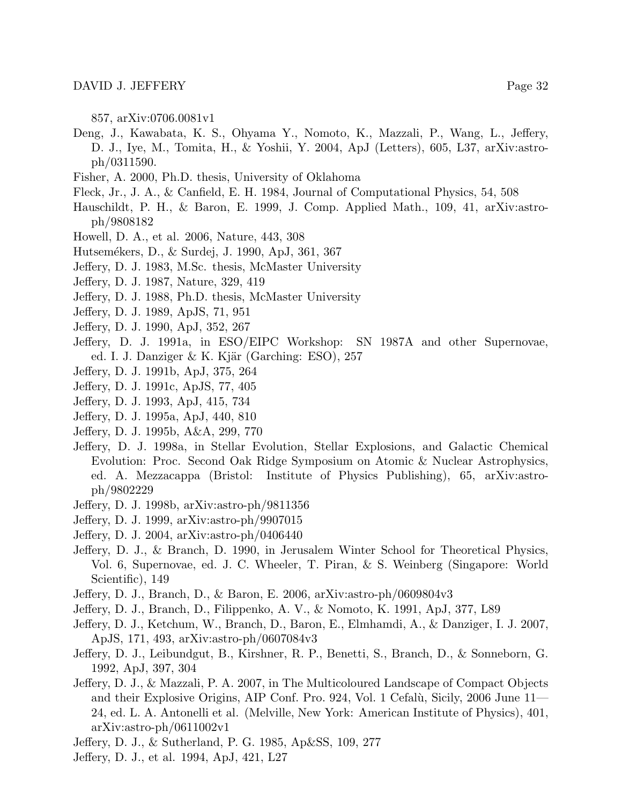857, arXiv:0706.0081v1

- Deng, J., Kawabata, K. S., Ohyama Y., Nomoto, K., Mazzali, P., Wang, L., Jeffery, D. J., Iye, M., Tomita, H., & Yoshii, Y. 2004, ApJ (Letters), 605, L37, arXiv:astroph/0311590.
- Fisher, A. 2000, Ph.D. thesis, University of Oklahoma
- Fleck, Jr., J. A., & Canfield, E. H. 1984, Journal of Computational Physics, 54, 508
- Hauschildt, P. H., & Baron, E. 1999, J. Comp. Applied Math., 109, 41, arXiv:astroph/9808182
- Howell, D. A., et al. 2006, Nature, 443, 308
- Hutsem´ekers, D., & Surdej, J. 1990, ApJ, 361, 367
- Jeffery, D. J. 1983, M.Sc. thesis, McMaster University
- Jeffery, D. J. 1987, Nature, 329, 419
- Jeffery, D. J. 1988, Ph.D. thesis, McMaster University
- Jeffery, D. J. 1989, ApJS, 71, 951
- Jeffery, D. J. 1990, ApJ, 352, 267
- Jeffery, D. J. 1991a, in ESO/EIPC Workshop: SN 1987A and other Supernovae, ed. I. J. Danziger & K. Kjär (Garching: ESO),  $257$
- Jeffery, D. J. 1991b, ApJ, 375, 264
- Jeffery, D. J. 1991c, ApJS, 77, 405
- Jeffery, D. J. 1993, ApJ, 415, 734
- Jeffery, D. J. 1995a, ApJ, 440, 810
- Jeffery, D. J. 1995b, A&A, 299, 770
- Jeffery, D. J. 1998a, in Stellar Evolution, Stellar Explosions, and Galactic Chemical Evolution: Proc. Second Oak Ridge Symposium on Atomic & Nuclear Astrophysics, ed. A. Mezzacappa (Bristol: Institute of Physics Publishing), 65, arXiv:astroph/9802229
- Jeffery, D. J. 1998b, arXiv:astro-ph/9811356
- Jeffery, D. J. 1999, arXiv:astro-ph/9907015
- Jeffery, D. J. 2004, arXiv:astro-ph/0406440
- Jeffery, D. J., & Branch, D. 1990, in Jerusalem Winter School for Theoretical Physics, Vol. 6, Supernovae, ed. J. C. Wheeler, T. Piran, & S. Weinberg (Singapore: World Scientific), 149
- Jeffery, D. J., Branch, D., & Baron, E. 2006, arXiv:astro-ph/0609804v3
- Jeffery, D. J., Branch, D., Filippenko, A. V., & Nomoto, K. 1991, ApJ, 377, L89
- Jeffery, D. J., Ketchum, W., Branch, D., Baron, E., Elmhamdi, A., & Danziger, I. J. 2007, ApJS, 171, 493, arXiv:astro-ph/0607084v3
- Jeffery, D. J., Leibundgut, B., Kirshner, R. P., Benetti, S., Branch, D., & Sonneborn, G. 1992, ApJ, 397, 304
- Jeffery, D. J., & Mazzali, P. A. 2007, in The Multicoloured Landscape of Compact Objects and their Explosive Origins, AIP Conf. Pro. 924, Vol. 1 Cefalù, Sicily, 2006 June 11-24, ed. L. A. Antonelli et al. (Melville, New York: American Institute of Physics), 401, arXiv:astro-ph/0611002v1
- Jeffery, D. J., & Sutherland, P. G. 1985, Ap&SS, 109, 277
- Jeffery, D. J., et al. 1994, ApJ, 421, L27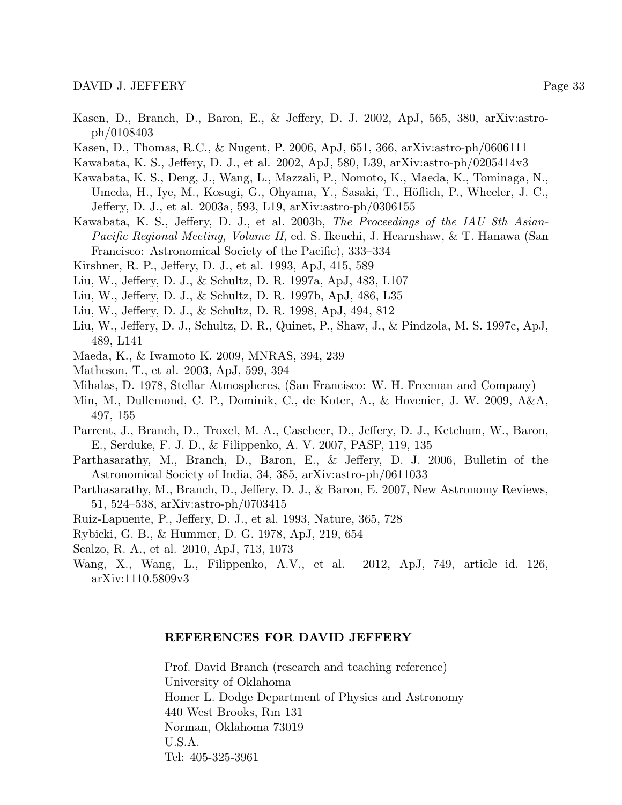- Kasen, D., Branch, D., Baron, E., & Jeffery, D. J. 2002, ApJ, 565, 380, arXiv:astroph/0108403
- Kasen, D., Thomas, R.C., & Nugent, P. 2006, ApJ, 651, 366, arXiv:astro-ph/0606111
- Kawabata, K. S., Jeffery, D. J., et al. 2002, ApJ, 580, L39, arXiv:astro-ph/0205414v3
- Kawabata, K. S., Deng, J., Wang, L., Mazzali, P., Nomoto, K., Maeda, K., Tominaga, N., Umeda, H., Iye, M., Kosugi, G., Ohyama, Y., Sasaki, T., Höflich, P., Wheeler, J. C., Jeffery, D. J., et al. 2003a, 593, L19, arXiv:astro-ph/0306155
- Kawabata, K. S., Jeffery, D. J., et al. 2003b, The Proceedings of the IAU 8th Asian-Pacific Regional Meeting, Volume II, ed. S. Ikeuchi, J. Hearnshaw, & T. Hanawa (San Francisco: Astronomical Society of the Pacific), 333–334
- Kirshner, R. P., Jeffery, D. J., et al. 1993, ApJ, 415, 589
- Liu, W., Jeffery, D. J., & Schultz, D. R. 1997a, ApJ, 483, L107
- Liu, W., Jeffery, D. J., & Schultz, D. R. 1997b, ApJ, 486, L35
- Liu, W., Jeffery, D. J., & Schultz, D. R. 1998, ApJ, 494, 812
- Liu, W., Jeffery, D. J., Schultz, D. R., Quinet, P., Shaw, J., & Pindzola, M. S. 1997c, ApJ, 489, L141
- Maeda, K., & Iwamoto K. 2009, MNRAS, 394, 239
- Matheson, T., et al. 2003, ApJ, 599, 394
- Mihalas, D. 1978, Stellar Atmospheres, (San Francisco: W. H. Freeman and Company)
- Min, M., Dullemond, C. P., Dominik, C., de Koter, A., & Hovenier, J. W. 2009, A&A, 497, 155
- Parrent, J., Branch, D., Troxel, M. A., Casebeer, D., Jeffery, D. J., Ketchum, W., Baron, E., Serduke, F. J. D., & Filippenko, A. V. 2007, PASP, 119, 135
- Parthasarathy, M., Branch, D., Baron, E., & Jeffery, D. J. 2006, Bulletin of the Astronomical Society of India, 34, 385, arXiv:astro-ph/0611033
- Parthasarathy, M., Branch, D., Jeffery, D. J., & Baron, E. 2007, New Astronomy Reviews, 51, 524–538, arXiv:astro-ph/0703415
- Ruiz-Lapuente, P., Jeffery, D. J., et al. 1993, Nature, 365, 728
- Rybicki, G. B., & Hummer, D. G. 1978, ApJ, 219, 654
- Scalzo, R. A., et al. 2010, ApJ, 713, 1073
- Wang, X., Wang, L., Filippenko, A.V., et al. 2012, ApJ, 749, article id. 126, arXiv:1110.5809v3

### REFERENCES FOR DAVID JEFFERY

Prof. David Branch (research and teaching reference) University of Oklahoma Homer L. Dodge Department of Physics and Astronomy 440 West Brooks, Rm 131 Norman, Oklahoma 73019 U.S.A. Tel: 405-325-3961